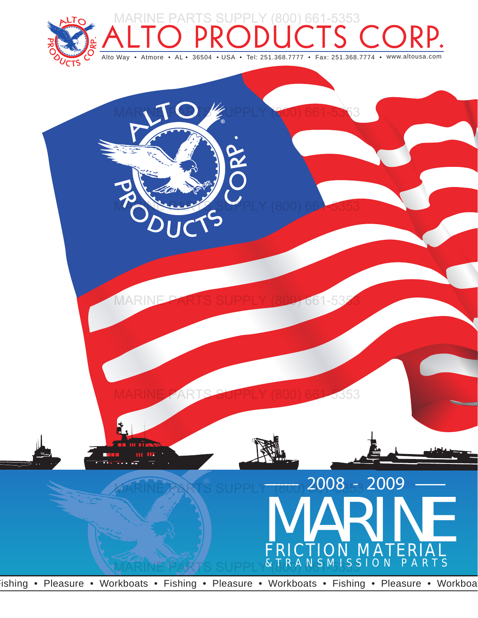



Fishing • Pleasure • Workboats • Fishing • Pleasure • Workboats • Fishing • Pleasure • Workboat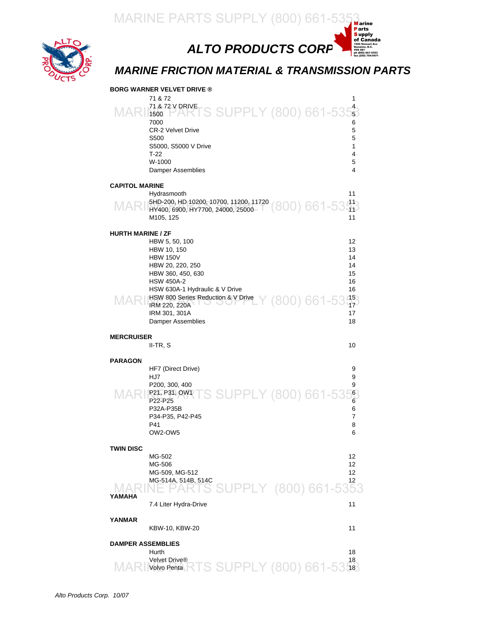

*ALTO PRODUCTS CORP.*

#### *MARINE FRICTION MATERIAL & TRANSMISSION PARTS*

ewart Ave<br>o, B.C. Nanaimo, B.C.<br>V9S 4E1<br>ph (800) 661-5353<br>fax (250) 754-9471

|                                        | <b>BORG WARNER VELVET DRIVE ®</b>                                                                                                                                                                                                                                              |                                                                      |
|----------------------------------------|--------------------------------------------------------------------------------------------------------------------------------------------------------------------------------------------------------------------------------------------------------------------------------|----------------------------------------------------------------------|
| MAR                                    | 71 & 72<br>71 & 72 V DRIVETS SUPPLY (800) 661-535<br>1500<br>7000<br><b>CR-2 Velvet Drive</b><br>S <sub>500</sub><br>S5000, S5000 V Drive<br>$T-22$<br>W-1000<br><b>Damper Assemblies</b>                                                                                      | 1<br>6<br>5<br>5<br>1<br>4<br>5<br>4                                 |
| <b>CAPITOL MARINE</b>                  | Hydrasmooth<br>MARI 5HD-200, HD 10200, 10700, 11200, 11720 (800) 661-53413<br>M105, 125                                                                                                                                                                                        | 11<br>11                                                             |
| <b>HURTH MARINE / ZF</b><br><b>MAR</b> | HBW 5, 50, 100<br>HBW 10, 150<br><b>HBW 150V</b><br>HBW 20, 220, 250<br>HBW 360, 450, 630<br><b>HSW 450A-2</b><br>HSW 630A-1 Hydraulic & V Drive<br>HSW 800 Series Reduction & V Drive $\frac{150}{17}$ (800) 661-53.15<br>IRM 220, 220A<br>IRM 301, 301A<br>Damper Assemblies | 12<br>13<br>14<br>14<br>15<br>16<br>16<br>17<br>18                   |
|                                        |                                                                                                                                                                                                                                                                                |                                                                      |
| <b>MERCRUISER</b>                      | II-TR, S                                                                                                                                                                                                                                                                       | 10                                                                   |
| <b>PARAGON</b><br>MAI                  | HF7 (Direct Drive)<br>HJ7<br>P200, 300, 400<br>P21, P31, OWATS SUPPLY (800) 661-535<br>P22-P25<br>P32A-P35B<br>P34-P35, P42-P45<br>P41<br>OW2-OW5                                                                                                                              | 9<br>9<br>9<br>$6\overline{6}$<br>$\overline{6}$<br>6<br>7<br>8<br>6 |
| <b>TWIN DISC</b><br>YAMAHA             | MG-502<br>MG-506<br>MG-509, MG-512<br>MG-514A, 514B, 514C<br>S SUPPLY (800) 661-535<br>7.4 Liter Hydra-Drive                                                                                                                                                                   | 12<br>12<br>12<br>12<br>11                                           |
| YANMAR                                 | KBW-10, KBW-20                                                                                                                                                                                                                                                                 | 11                                                                   |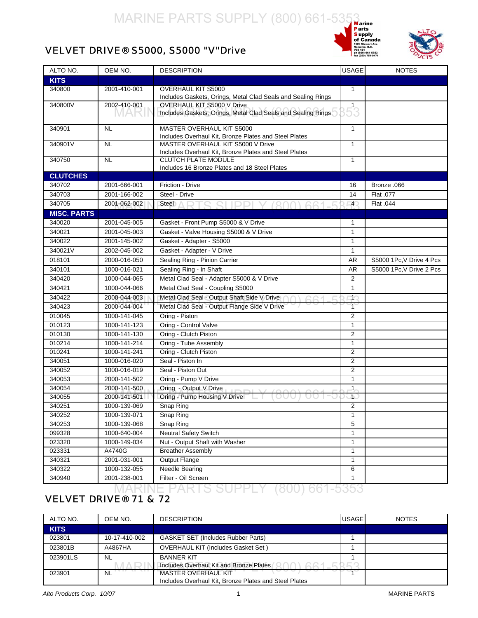



#### <span id="page-2-0"></span>VELVET DRIVE® S5000, S5000 "V"Drive

| ALTO NO.           | OEM NO.                      | <b>DESCRIPTION</b>                                                                  | <b>USAGE</b>                 | <b>NOTES</b>             |
|--------------------|------------------------------|-------------------------------------------------------------------------------------|------------------------------|--------------------------|
| <b>KITS</b>        |                              |                                                                                     |                              |                          |
| 340800             | 2001-410-001                 | OVERHAUL KIT S5000                                                                  | $\mathbf{1}$                 |                          |
|                    |                              | Includes Gaskets, Orings, Metal Clad Seals and Sealing Rings                        |                              |                          |
| 340800V            | 2002-410-001                 | OVERHAUL KIT S5000 V Drive                                                          | $5^{1}_{3}$                  |                          |
|                    | IVIAR                        | Includes Gaskets, Orings, Metal Clad Seals and Sealing Rings                        |                              |                          |
| 340901             | <b>NL</b>                    | MASTER OVERHAUL KIT S5000                                                           | $\mathbf{1}$                 |                          |
|                    |                              | Includes Overhaul Kit, Bronze Plates and Steel Plates                               |                              |                          |
| 340901V            | <b>NL</b>                    | MASTER OVERHAUL KIT S5000 V Drive                                                   | 1                            |                          |
| 340750             | <b>NL</b>                    | Includes Overhaul Kit, Bronze Plates and Steel Plates<br><b>CLUTCH PLATE MODULE</b> | $\mathbf{1}$                 |                          |
|                    |                              | Includes 16 Bronze Plates and 18 Steel Plates                                       |                              |                          |
| <b>CLUTCHES</b>    |                              |                                                                                     |                              |                          |
| 340702             | 2001-666-001                 | Friction - Drive                                                                    | 16                           | Bronze .066              |
| 340703             | 2001-166-002                 | Steel - Drive                                                                       | 14                           | Flat .077                |
| 340705             | 2001-062-002                 | Steel A D T Q Q I I D D I V / 200                                                   | $\overline{4}$               | Flat .044                |
| <b>MISC. PARTS</b> |                              |                                                                                     |                              |                          |
| 340020             | 2001-045-005                 | Gasket - Front Pump S5000 & V Drive                                                 | 1                            |                          |
| 340021             | 2001-045-003                 | Gasket - Valve Housing S5000 & V Drive                                              | $\mathbf{1}$                 |                          |
| 340022             | 2001-145-002                 | Gasket - Adapter - S5000                                                            | $\mathbf{1}$                 |                          |
| 340021V            | 2002-045-002                 | Gasket - Adapter - V Drive                                                          | $\mathbf{1}$                 |                          |
| 018101             | 2000-016-050                 | Sealing Ring - Pinion Carrier                                                       | <b>AR</b>                    | S5000 1Pc, V Drive 4 Pcs |
| 340101             | 1000-016-021                 | Sealing Ring - In Shaft                                                             | <b>AR</b>                    | S5000 1Pc, V Drive 2 Pcs |
| 340420             | 1000-044-065                 | Metal Clad Seal - Adapter S5000 & V Drive                                           | $\overline{2}$               |                          |
| 340421             | 1000-044-066                 | Metal Clad Seal - Coupling S5000                                                    | $\mathbf{1}$                 |                          |
| 340422             | 2000-044-003                 | Metal Clad Seal - Output Shaft Side V Drive                                         | $1^\circ$                    |                          |
| 340423             | 2000-044-004                 | Metal Clad Seal - Output Flange Side V Drive                                        | $\overline{1}$               |                          |
| 010045             | 1000-141-045                 | Oring - Piston                                                                      | $\overline{2}$               |                          |
| 010123             | 1000-141-123                 | Oring - Control Valve                                                               | 1                            |                          |
| 010130             | 1000-141-130                 | Oring - Clutch Piston                                                               | $\overline{2}$               |                          |
| 010214             | 1000-141-214                 | Oring - Tube Assembly                                                               | $\mathbf{1}$                 |                          |
| 010241             | 1000-141-241                 | Oring - Clutch Piston                                                               | $\overline{2}$               |                          |
| 340051             | 1000-016-020                 | Seal - Piston In                                                                    | 2                            |                          |
| 340052             | 1000-016-019                 | Seal - Piston Out                                                                   | $\overline{2}$               |                          |
| 340053             | 2000-141-502                 | Oring - Pump V Drive                                                                | 1                            |                          |
| 340054             | 2000-141-500                 | Oring - Output V Drive                                                              | $\mathbf{1}$                 |                          |
| 340055             | 2000-141-501                 | Oring - Pump Housing V Drive<br>OUU.<br>UU                                          | л                            |                          |
| 340251             | 1000-139-069                 | Snap Ring                                                                           | $\overline{2}$               |                          |
| 340252             | 1000-139-071                 | Snap Ring                                                                           | 1                            |                          |
| 340253             | 1000-139-068                 | Snap Ring                                                                           | 5                            |                          |
| 099328             | 1000-640-004                 | <b>Neutral Safety Switch</b>                                                        | $\mathbf{1}$                 |                          |
| 023320             | 1000-149-034                 | Nut - Output Shaft with Washer                                                      | $\mathbf{1}$                 |                          |
| 023331             | A4740G                       | <b>Breather Assembly</b>                                                            | $\mathbf{1}$<br>$\mathbf{1}$ |                          |
| 340321             | 2001-031-001                 | <b>Output Flange</b>                                                                |                              |                          |
| 340322<br>340940   | 1000-132-055<br>2001-238-001 | Needle Bearing<br>Filter - Oil Screen                                               | 6<br>1                       |                          |
|                    |                              |                                                                                     |                              |                          |

#### MARINE PARTS SUPPLY (800) 661-5353

#### VELVET DRIVE® 71 & 72

| ALTO NO.    | OEM NO.       | <b>DESCRIPTION</b>                                      | <b>USAGE</b> | <b>NOTES</b> |
|-------------|---------------|---------------------------------------------------------|--------------|--------------|
| <b>KITS</b> |               |                                                         |              |              |
| 023801      | 10-17-410-002 | <b>GASKET SET (Includes Rubber Parts)</b>               |              |              |
| 023801B     | A4867HA       | <b>OVERHAUL KIT (Includes Gasket Set)</b>               |              |              |
| 023901LS    | <b>NL</b>     | <b>BANNER KIT</b>                                       |              |              |
|             |               | Includes Overhaul Kit and Bronze Plates<br>$\sqrt{661}$ |              |              |
| 023901      | <b>NL</b>     | <b>MASTER OVERHAUL KIT</b>                              |              |              |
|             |               | Includes Overhaul Kit, Bronze Plates and Steel Plates   |              |              |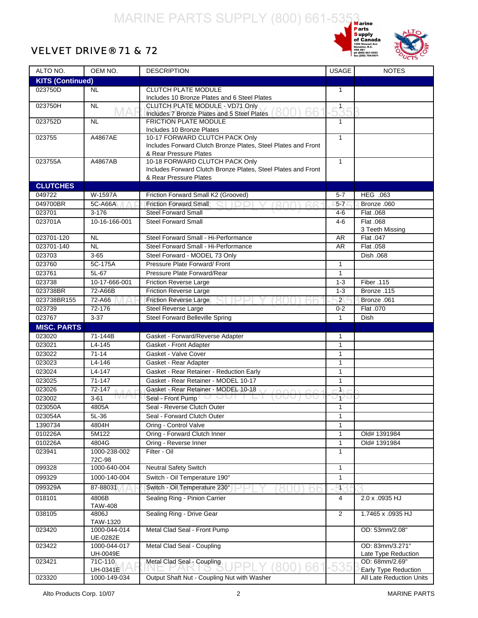#### VELVET DRIVE® 71 & 72





| ALTO NO.                | OEM NO.                            | <b>DESCRIPTION</b>                                            | <b>USAGE</b>   | <b>NOTES</b>                           |
|-------------------------|------------------------------------|---------------------------------------------------------------|----------------|----------------------------------------|
| <b>KITS (Continued)</b> |                                    |                                                               |                |                                        |
| 023750D                 | <b>NL</b>                          | CLUTCH PLATE MODULE                                           | $\mathbf{1}$   |                                        |
|                         |                                    | Includes 10 Bronze Plates and 6 Steel Plates                  |                |                                        |
| 023750H                 | $\overline{NL}$<br>MAH             | CLUTCH PLATE MODULE - VD71 Only                               | $5^{1}$        |                                        |
|                         |                                    | 800) 66<br>Includes 7 Bronze Plates and 5 Steel Plates        |                |                                        |
| 023752D                 | <b>NL</b>                          | <b>FRICTION PLATE MODULE</b>                                  | 1              |                                        |
|                         |                                    | Includes 10 Bronze Plates<br>10-17 FORWARD CLUTCH PACK Only   | $\mathbf{1}$   |                                        |
| 023755                  | A4867AE                            | Includes Forward Clutch Bronze Plates, Steel Plates and Front |                |                                        |
|                         |                                    | & Rear Pressure Plates                                        |                |                                        |
| 023755A                 | A4867AB                            | 10-18 FORWARD CLUTCH PACK Only                                | $\mathbf{1}$   |                                        |
|                         |                                    | Includes Forward Clutch Bronze Plates, Steel Plates and Front |                |                                        |
|                         |                                    | & Rear Pressure Plates                                        |                |                                        |
| <b>CLUTCHES</b>         |                                    |                                                               |                |                                        |
| 049722                  | W-1597A                            | Friction Forward Small K2 (Grooved)                           | $5 - 7$        | HEG .063                               |
| 049700BR                | 5C-A66A                            | Friction Forward Small                                        | $5 - 7$        | Bronze .060                            |
| 023701                  | $3 - 176$                          | <b>Steel Forward Small</b>                                    | $4-6$          | Flat .068                              |
| 023701A                 | 10-16-166-001                      | <b>Steel Forward Small</b>                                    | $4-6$          | Flat .068                              |
|                         |                                    |                                                               |                | 3 Teeth Missing                        |
| 023701-120              | <b>NL</b>                          | Steel Forward Small - Hi-Performance                          | AR             | Flat .047                              |
| 023701-140              | <b>NL</b>                          | Steel Forward Small - Hi-Performance                          | AR             | Flat .058                              |
| 023703                  | $3 - 65$                           | Steel Forward - MODEL 73 Only                                 |                | Dish .068                              |
| 023760                  | 5C-175A                            | Pressure Plate Forward/ Front                                 | $\mathbf{1}$   |                                        |
| 023761                  | $5L-67$                            | Pressure Plate Forward/Rear                                   | $\mathbf{1}$   |                                        |
| 023738                  | 10-17-666-001                      | <b>Friction Reverse Large</b>                                 | $1 - 3$        | Fiber .115                             |
| 023738BR                | 72-A66B                            | <b>Friction Reverse Large</b>                                 | $1 - 3$        | Bronze .115                            |
| 023738BR155             | 72-A66                             | <b>Friction Reverse Large</b>                                 | $\overline{2}$ | Bronze .061                            |
| 023739                  | 72-176                             | <b>Steel Reverse Large</b>                                    | $0 - 2$        | Flat .070                              |
| 023767                  | $3 - 37$                           | <b>Steel Forward Belleville Spring</b>                        | $\mathbf{1}$   | <b>Dish</b>                            |
| <b>MISC. PARTS</b>      |                                    |                                                               |                |                                        |
| 023020                  | 71-144B                            | Gasket - Forward/Reverse Adapter                              | 1              |                                        |
| 023021                  | $L4 - 145$                         | Gasket - Front Adapter                                        | $\mathbf{1}$   |                                        |
| 023022                  | $71 - 14$                          | Gasket - Valve Cover                                          | 1              |                                        |
| 023023                  | L4-146                             | Gasket - Rear Adapter                                         | $\mathbf{1}$   |                                        |
| 023024                  | $L4 - 147$                         | Gasket - Rear Retainer - Reduction Early                      | 1              |                                        |
| 023025                  | $71 - 147$                         | Gasket - Rear Retainer - MODEL 10-17                          | 1              |                                        |
| 023026                  | 72-147<br>$\sqrt{2}$<br>$\wedge$ T | Gasket - Rear Retainer - MODEL 10-18                          | $\overline{1}$ |                                        |
| 023002                  | $3 - 61$<br>IVI/M                  | Seal - Front Pump<br>UUU                                      | ハヤ             |                                        |
| 023050A                 | 4805A                              | Seal - Reverse Clutch Outer                                   | 1              |                                        |
| 023054A                 | $5L-36$                            | Seal - Forward Clutch Outer                                   | 1              |                                        |
| 1390734                 | 4804H                              | Oring - Control Valve                                         | 1              |                                        |
| 010226A                 | 5M122                              | Oring - Forward Clutch Inner                                  | 1              | Old# 1391984                           |
| 010226A                 | 4804G                              | Oring - Reverse Inner                                         | 1              | Old# 1391984                           |
| 023941                  | 1000-238-002<br>72C-98             | Filter - Oil                                                  | $\mathbf{1}$   |                                        |
| 099328                  | 1000-640-004                       | Neutral Safety Switch                                         | 1              |                                        |
| 099329                  | 1000-140-004                       | Switch - Oil Temperature 190°                                 | 1              |                                        |
| 099329A                 | 87-88031                           | Switch - Oil Temperature 230°                                 | -11            |                                        |
|                         |                                    |                                                               |                |                                        |
| 018101                  | 4806B<br><b>TAW-408</b>            | Sealing Ring - Pinion Carrier                                 | $\overline{4}$ | 2.0 x .0935 HJ                         |
| 038105                  | 4806J<br>TAW-1320                  | Sealing Ring - Drive Gear                                     | $\overline{2}$ | 1.7465 x .0935 HJ                      |
| 023420                  | 1000-044-014<br>UE-0282E           | Metal Clad Seal - Front Pump                                  |                | OD: 53mm/2.08"                         |
| 023422                  | 1000-044-017<br>UH-0049E           | Metal Clad Seal - Coupling                                    |                | OD: 83mm/3.271"<br>Late Type Reduction |
| 023421                  | 71C-110<br>UH-0341E                | Metal Clad Seal - Coupling<br>(800) 661                       | -535           | OD: 68mm/2.69"<br>Early Type Reduction |
|                         |                                    |                                                               |                |                                        |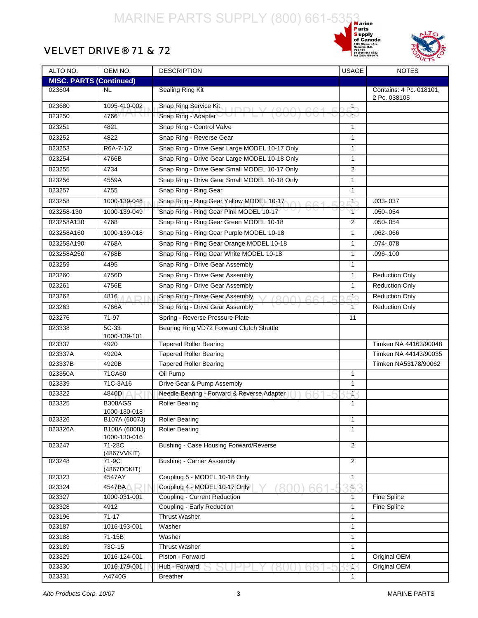



#### VELVET DRIVE® 71 & 72

| ALTO NO.                       | OEM NO.                        | <b>DESCRIPTION</b>                            | <b>USAGE</b>   | <b>NOTES</b>                            |
|--------------------------------|--------------------------------|-----------------------------------------------|----------------|-----------------------------------------|
| <b>MISC. PARTS (Continued)</b> |                                |                                               |                |                                         |
| 023604                         | NL.                            | Sealing Ring Kit                              |                | Contains: 4 Pc. 018101,<br>2 Pc. 038105 |
| 023680                         | 1095-410-002                   | Snap Ring Service Kit<br>$I$ DDI V (000) 664  | $\mathbf{1}$   |                                         |
| 023250                         | 4766                           | Snap Ring - Adapter                           | ∽∗             |                                         |
| 023251                         | 4821                           | Snap Ring - Control Valve                     | 1              |                                         |
| 023252                         | 4822                           | Snap Ring - Reverse Gear                      | $\mathbf{1}$   |                                         |
| 023253                         | R6A-7-1/2                      | Snap Ring - Drive Gear Large MODEL 10-17 Only | 1              |                                         |
| 023254                         | 4766B                          | Snap Ring - Drive Gear Large MODEL 10-18 Only | $\mathbf{1}$   |                                         |
| 023255                         | 4734                           | Snap Ring - Drive Gear Small MODEL 10-17 Only | 2              |                                         |
| 023256                         | 4559A                          | Snap Ring - Drive Gear Small MODEL 10-18 Only | 1              |                                         |
| 023257                         | 4755                           | Snap Ring - Ring Gear                         | $\mathbf{1}$   |                                         |
| 023258                         | 1000-139-048                   | Snap Ring - Ring Gear Yellow MODEL 10-17      | $1 -$          | .033-.037                               |
| 023258-130                     | 1000-139-049                   | Snap Ring - Ring Gear Pink MODEL 10-17        | 1.             | .050 - .054                             |
| 023258A130                     | 4768                           | Snap Ring - Ring Gear Green MODEL 10-18       | 2              | $.050 - .054$                           |
| 023258A160                     | 1000-139-018                   | Snap Ring - Ring Gear Purple MODEL 10-18      | $\mathbf{1}$   | .062-.066                               |
| 023258A190                     | 4768A                          | Snap Ring - Ring Gear Orange MODEL 10-18      | $\mathbf{1}$   | .074-.078                               |
| 023258A250                     | 4768B                          | Snap Ring - Ring Gear White MODEL 10-18       | 1              | .096-.100                               |
| 023259                         | 4495                           | Snap Ring - Drive Gear Assembly               | 1              |                                         |
| 023260                         | 4756D                          | Snap Ring - Drive Gear Assembly               | 1              | <b>Reduction Only</b>                   |
| 023261                         | 4756E                          | Snap Ring - Drive Gear Assembly               | $\mathbf{1}$   | <b>Reduction Only</b>                   |
| 023262                         | 4816                           | Snap Ring - Drive Gear Assembly               |                | <b>Reduction Only</b>                   |
|                                |                                |                                               | 1 <sub>2</sub> |                                         |
| 023263                         | 4766A                          | Snap Ring - Drive Gear Assembly               | $\mathbf{1}$   | <b>Reduction Only</b>                   |
| 023276                         | 71-97                          | Spring - Reverse Pressure Plate               | 11             |                                         |
| 023338                         | 5C-33<br>1000-139-101          | Bearing Ring VD72 Forward Clutch Shuttle      |                |                                         |
| 023337                         | 4920                           | <b>Tapered Roller Bearing</b>                 |                | Timken NA 44163/90048                   |
| 023337A                        | 4920A                          | <b>Tapered Roller Bearing</b>                 |                | Timken NA 44143/90035                   |
| 023337B                        | 4920B                          | <b>Tapered Roller Bearing</b>                 |                | Timken NA53178/90062                    |
| 023350A                        | 71CA60                         | Oil Pump                                      | $\mathbf{1}$   |                                         |
| 023339                         | 71C-3A16                       | Drive Gear & Pump Assembly                    | $\mathbf{1}$   |                                         |
| 023322                         | 4840D                          | Needle Bearing - Forward & Reverse Adapter    | $\mathbf{1}$   |                                         |
| 023325                         | <b>B308AGS</b><br>1000-130-018 | <b>Roller Bearing</b>                         | $\mathbf{1}$   |                                         |
| 023326                         | B107A (6007J)                  | <b>Roller Bearing</b>                         | 1              |                                         |
| 023326A                        | B108A (6008J)<br>1000-130-016  | <b>Roller Bearing</b>                         | $\mathbf{1}$   |                                         |
| 023247                         | $71-28C$<br>(4867VVKIT)        | Bushing - Case Housing Forward/Reverse        | $\overline{2}$ |                                         |
| 023248                         | 71-9C<br>(4867DDKIT)           | <b>Bushing - Carrier Assembly</b>             | $\overline{2}$ |                                         |
| 023323                         | 4547AY                         | Coupling 5 - MODEL 10-18 Only                 | $\mathbf{1}$   |                                         |
| 023324                         | 4547BA                         | Coupling 4 - MODEL 10-17 Only                 | $\overline{1}$ |                                         |
| 023327                         | 1000-031-001                   | Coupling - Current Reduction                  | $\mathbf{1}$   | Fine Spline                             |
| 023328                         | 4912                           | Coupling - Early Reduction                    | 1              | Fine Spline                             |
| 023196                         | $71 - 17$                      | <b>Thrust Washer</b>                          | 1              |                                         |
| 023187                         | 1016-193-001                   | Washer                                        | 1              |                                         |
| 023188                         | 71-15B                         | Washer                                        | 1              |                                         |
| 023189                         | 73C-15                         | <b>Thrust Washer</b>                          | $\mathbf{1}$   |                                         |
| 023329                         | 1016-124-001                   | Piston - Forward                              | $\mathbf{1}$   | Original OEM                            |
| 023330                         | 1016-179-001                   | Hub - Forward                                 | 1              | Original OEM                            |
| 023331                         | A4740G                         | <b>Breather</b>                               | 1              |                                         |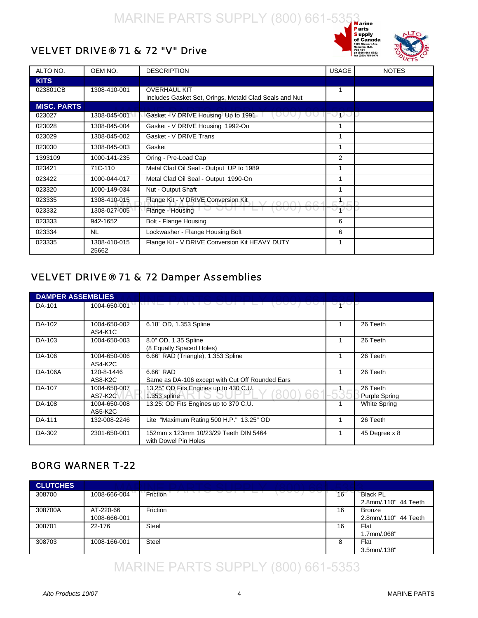



#### <span id="page-5-0"></span>VELVET DRIVE® 71 & 72 "V" Drive

| ALTO NO.           | OEM NO.               | <b>DESCRIPTION</b>                                                            | <b>USAGE</b> | <b>NOTES</b> |
|--------------------|-----------------------|-------------------------------------------------------------------------------|--------------|--------------|
| <b>KITS</b>        |                       |                                                                               |              |              |
| 023801CB           | 1308-410-001          | <b>OVERHAUL KIT</b><br>Includes Gasket Set, Orings, Metald Clad Seals and Nut | 1            |              |
| <b>MISC. PARTS</b> |                       |                                                                               |              |              |
| 023027             | 1308-045-001          | Gasket - V DRIVE Housing Up to 1991                                           | ပ္စစ္ခပ္စု   |              |
| 023028             | 1308-045-004          | Gasket - V DRIVE Housing 1992-On                                              | 1            |              |
| 023029             | 1308-045-002          | Gasket - V DRIVE Trans                                                        | 1            |              |
| 023030             | 1308-045-003          | Gasket                                                                        | 1            |              |
| 1393109            | 1000-141-235          | Oring - Pre-Load Cap                                                          | 2            |              |
| 023421             | 71C-110               | Metal Clad Oil Seal - Output UP to 1989                                       | 1            |              |
| 023422             | 1000-044-017          | Metal Clad Oil Seal - Output 1990-On                                          | 1            |              |
| 023320             | 1000-149-034          | Nut - Output Shaft                                                            | 1            |              |
| 023335             | 1308-410-015          | Flange Kit - V DRIVE Conversion Kit                                           |              |              |
| 023332             | 1308-027-005          | Flange - Housing                                                              | ヤー           |              |
| 023333             | 942-1652              | Bolt - Flange Housing                                                         | 6            |              |
| 023334             | <b>NL</b>             | Lockwasher - Flange Housing Bolt                                              | 6            |              |
| 023335             | 1308-410-015<br>25662 | Flange Kit - V DRIVE Conversion Kit HEAVY DUTY                                | 1            |              |

#### VELVET DRIVE® 71 & 72 Damper Assemblies

| <b>DAMPER ASSEMBLIES</b> |                         |                                                               |                                  |
|--------------------------|-------------------------|---------------------------------------------------------------|----------------------------------|
| DA-101                   | 1004-650-001            |                                                               |                                  |
| DA-102                   | 1004-650-002<br>AS4-K1C | 6.18" OD, 1.353 Spline                                        | 26 Teeth                         |
| DA-103                   | 1004-650-003            | 8.0" OD, 1.35 Spline<br>(8 Equally Spaced Holes)              | 26 Teeth                         |
| DA-106                   | 1004-650-006<br>AS4-K2C | 6.66" RAD (Triangle), 1.353 Spline                            | 26 Teeth                         |
| DA-106A                  | 120-8-1446<br>AS8-K2C   | 6.66" RAD<br>Same as DA-106 except with Cut Off Rounded Ears  | 26 Teeth                         |
| DA-107                   | 1004-650-007<br>AS7-K2C | 13.25" OD Fits Engines up to 430 C.U.<br>) 66<br>1.353 spline | 26 Teeth<br><b>Purple Spring</b> |
| DA-108                   | 1004-650-008<br>AS5-K2C | 13.25: OD Fits Engines up to 370 C.U.                         | <b>White Spring</b>              |
| DA-111                   | 132-008-2246            | Lite "Maximum Rating 500 H.P." 13.25" OD                      | 26 Teeth                         |
| DA-302                   | 2301-650-001            | 152mm x 123mm 10/23/29 Teeth DIN 5464<br>with Dowel Pin Holes | 45 Degree x 8                    |

#### BORG WARNER T-22

| <b>CLUTCHES</b> |              |          |    |                      |
|-----------------|--------------|----------|----|----------------------|
| 308700          | 1008-666-004 | Friction | 16 | <b>Black PL</b>      |
|                 |              |          |    | 2.8mm/.110" 44 Teeth |
| 308700A         | AT-220-66    | Friction | 16 | <b>Bronze</b>        |
|                 | 1008-666-001 |          |    | 2.8mm/.110" 44 Teeth |
| 308701          | 22-176       | Steel    | 16 | Flat                 |
|                 |              |          |    | 1.7mm/.068"          |
| 308703          | 1008-166-001 | Steel    | 8  | Flat                 |
|                 |              |          |    | $3.5$ mm $/0.138"$   |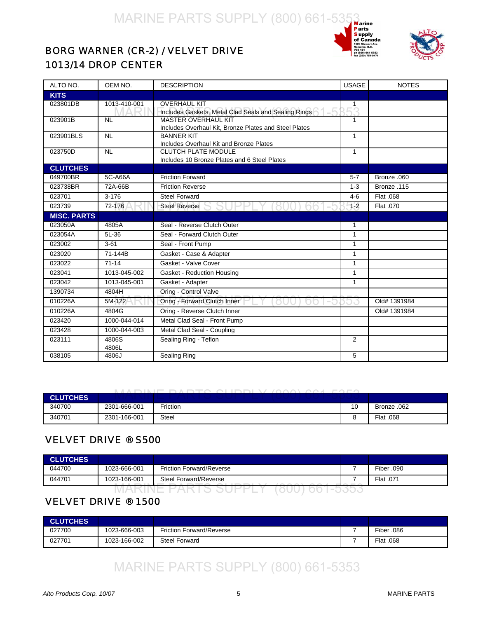



#### <span id="page-6-0"></span>BORG WARNER (CR-2) / VELVET DRIVE 1013/14 DROP CENTER

| ALTO NO.           | OEM NO.                  | <b>DESCRIPTION</b>                                                                  | <b>USAGE</b> | <b>NOTES</b> |
|--------------------|--------------------------|-------------------------------------------------------------------------------------|--------------|--------------|
| <b>KITS</b>        |                          |                                                                                     |              |              |
| 023801DB           | 1013-410-001             | <b>OVERHAUL KIT</b><br>Includes Gaskets, Metal Clad Seals and Sealing Rings         | 1<br>253     |              |
| 023901B            | <b>NL</b>                | <b>MASTER OVERHAUL KIT</b><br>Includes Overhaul Kit, Bronze Plates and Steel Plates | 1            |              |
| 023901BLS          | <b>NL</b>                | <b>BANNER KIT</b><br>Includes Overhaul Kit and Bronze Plates                        | $\mathbf{1}$ |              |
| 023750D            | $\overline{\mathsf{NL}}$ | <b>CLUTCH PLATE MODULE</b><br>Includes 10 Bronze Plates and 6 Steel Plates          | $\mathbf{1}$ |              |
| <b>CLUTCHES</b>    |                          |                                                                                     |              |              |
| 049700BR           | 5C-A66A                  | <b>Friction Forward</b>                                                             | $5 - 7$      | Bronze .060  |
| 023738BR           | 72A-66B                  | <b>Friction Reverse</b>                                                             | $1 - 3$      | Bronze .115  |
| 023701             | $3 - 176$                | <b>Steel Forward</b>                                                                | $4 - 6$      | Flat .068    |
| 023739             | 72-176                   | <b>Steel Reverse</b>                                                                | $-1 - 2$     | Flat .070    |
| <b>MISC. PARTS</b> |                          |                                                                                     |              |              |
| 023050A            | 4805A                    | Seal - Reverse Clutch Outer                                                         | $\mathbf{1}$ |              |
| 023054A            | $5L-36$                  | Seal - Forward Clutch Outer                                                         | $\mathbf{1}$ |              |
| 023002             | $3 - 61$                 | Seal - Front Pump                                                                   | $\mathbf{1}$ |              |
| 023020             | 71-144B                  | Gasket - Case & Adapter                                                             | $\mathbf{1}$ |              |
| 023022             | $71 - 14$                | Gasket - Valve Cover                                                                | $\mathbf{1}$ |              |
| 023041             | 1013-045-002             | Gasket - Reduction Housing                                                          | $\mathbf{1}$ |              |
| 023042             | 1013-045-001             | Gasket - Adapter                                                                    | $\mathbf{1}$ |              |
| 1390734            | 4804H                    | Oring - Control Valve                                                               |              |              |
| 010226A            | 5M-122                   | Oring - Forward Clutch Inner                                                        |              | Old# 1391984 |
| 010226A            | 4804G                    | Oring - Reverse Clutch Inner                                                        |              | Old# 1391984 |
| 023420             | 1000-044-014             | Metal Clad Seal - Front Pump                                                        |              |              |
| 023428             | 1000-044-003             | Metal Clad Seal - Coupling                                                          |              |              |
| 023111             | 4806S<br>4806L           | Sealing Ring - Teflon                                                               | 2            |              |
| 038105             | 4806J                    | <b>Sealing Ring</b>                                                                 | 5            |              |

|              |  |  | LIADINE DADTO OLIDDI V (OGO) OO LEGEO |  |
|--------------|--|--|---------------------------------------|--|
| ____________ |  |  |                                       |  |

| <b>CLUTCHES</b> |              | _____<br>$\sqrt{2}$<br>$\sim$ $\sim$ $\sim$ | $- - - - -$ |             |
|-----------------|--------------|---------------------------------------------|-------------|-------------|
| 340700          | 2301-666-001 | Friction                                    | 10          | Bronze .062 |
| 340701          | 2301-166-001 | Steel                                       |             | Flat .068   |

#### VELVET DRIVE ® S500

| <b>CLUTCHES</b> |              |                                 |            |
|-----------------|--------------|---------------------------------|------------|
| 044700          | 1023-666-001 | <b>Friction Forward/Reverse</b> | Fiber .090 |
| 044701          | 1023-166-001 | Steel Forward/Reverse           | Flat .071  |
|                 |              |                                 |            |

#### VELVET DRIVE ® 1500

| <b>CLUTCHES</b> |              |                                 |            |
|-----------------|--------------|---------------------------------|------------|
| 027700          | 1023-666-003 | <b>Friction Forward/Reverse</b> | Fiber .086 |
| 027701          | 1023-166-002 | <b>Steel Forward</b>            | Flat .068  |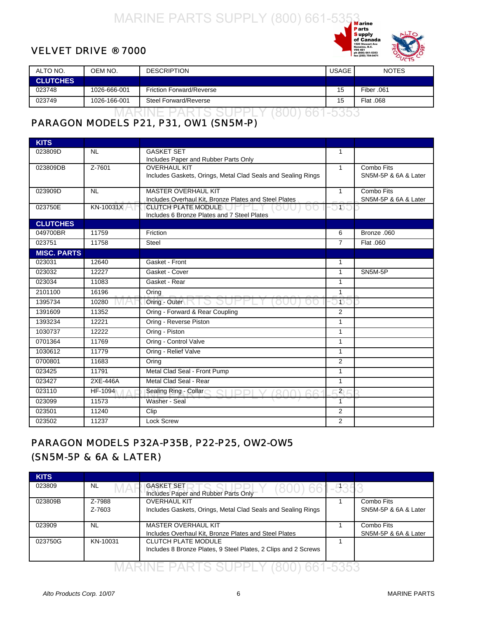#### <span id="page-7-0"></span>VELVET DRIVE ® 7000



| ALTO NO.        | OEM NO.      | <b>DESCRIPTION</b>              | <b>USAGE</b> | <b>NOTES</b> |
|-----------------|--------------|---------------------------------|--------------|--------------|
| <b>CLUTCHES</b> |              |                                 |              |              |
| 023748          | 1026-666-001 | <b>Friction Forward/Reverse</b> | 15           | Fiber .061   |
| 023749          | 1026-166-001 | Steel Forward/Reverse           | 15           | Flat .068    |
|                 |              | ----- --------                  |              |              |

#### PARAGON MODELS P21, P31, OW1 (SN5M-P)

| <b>KITS</b>        |            |                                                              |                |                      |
|--------------------|------------|--------------------------------------------------------------|----------------|----------------------|
| 023809D            | <b>NL</b>  | <b>GASKET SET</b>                                            | $\mathbf{1}$   |                      |
|                    |            | Includes Paper and Rubber Parts Only                         |                |                      |
| 023809DB           | $Z - 7601$ | <b>OVERHAUL KIT</b>                                          | $\mathbf{1}$   | Combo Fits           |
|                    |            | Includes Gaskets, Orings, Metal Clad Seals and Sealing Rings |                | SN5M-5P & 6A & Later |
| 023909D            | <b>NL</b>  | <b>MASTER OVERHAUL KIT</b>                                   | $\mathbf{1}$   | Combo Fits           |
|                    |            | Includes Overhaul Kit, Bronze Plates and Steel Plates        |                | SN5M-5P & 6A & Later |
| 023750E            | KN-10031X  | <b>CLUTCH PLATE MODULE</b>                                   | )15、           |                      |
|                    |            | Includes 6 Bronze Plates and 7 Steel Plates                  |                |                      |
| <b>CLUTCHES</b>    |            |                                                              |                |                      |
| 049700BR           | 11759      | Friction                                                     | 6              | Bronze .060          |
| 023751             | 11758      | Steel                                                        | $\overline{7}$ | Flat .060            |
| <b>MISC. PARTS</b> |            |                                                              |                |                      |
| 023031             | 12640      | Gasket - Front                                               | 1              |                      |
| 023032             | 12227      | Gasket - Cover                                               | $\mathbf{1}$   | SN5M-5P              |
| 023034             | 11083      | Gasket - Rear                                                | 1              |                      |
| 2101100            | 16196      | Oring                                                        | $\mathbf{1}$   |                      |
| 1395734            | 10280      | Oring - Outer $\Box$                                         | $\mathbf{D}$ . |                      |
| 1391609            | 11352      | Oring - Forward & Rear Coupling                              | 2              |                      |
| 1393234            | 12221      | Oring - Reverse Piston                                       | $\mathbf{1}$   |                      |
| 1030737            | 12222      | Oring - Piston                                               | $\mathbf{1}$   |                      |
| 0701364            | 11769      | Oring - Control Valve                                        | $\mathbf{1}$   |                      |
| 1030612            | 11779      | Oring - Relief Valve                                         | $\mathbf{1}$   |                      |
| 0700801            | 11683      | Oring                                                        | 2              |                      |
| 023425             | 11791      | Metal Clad Seal - Front Pump                                 | $\mathbf{1}$   |                      |
| 023427             | 2XE-446A   | Metal Clad Seal - Rear                                       | $\mathbf{1}$   |                      |
| 023110             | HF-1094    | Sealing Ring - Collar                                        | $2^{\circ}$    |                      |
| 023099             | 11573      | Washer - Seal                                                | $\overline{1}$ |                      |
| 023501             | 11240      | Clip                                                         | 2              |                      |
| 023502             | 11237      | Lock Screw                                                   | 2              |                      |

#### PARAGON MODELS P32A-P35B, P22-P25, OW2-OW5 (SN5M-5P & 6A & LATER)

| <b>KITS</b> |                  |                                                                                              |  |                                    |  |
|-------------|------------------|----------------------------------------------------------------------------------------------|--|------------------------------------|--|
| 023809      | NL               | IGASKET SET I<br>Includes Paper and Rubber Parts Only                                        |  |                                    |  |
| 023809B     | Z-7988<br>Z-7603 | <b>OVERHAUL KIT</b><br>Includes Gaskets, Orings, Metal Clad Seals and Sealing Rings          |  | Combo Fits<br>SN5M-5P & 6A & Later |  |
| 023909      | NL               | <b>MASTER OVERHAUL KIT</b><br>Includes Overhaul Kit, Bronze Plates and Steel Plates          |  | Combo Fits<br>SN5M-5P & 6A & Later |  |
| 023750G     | KN-10031         | <b>CLUTCH PLATE MODULE</b><br>Includes 8 Bronze Plates, 9 Steel Plates, 2 Clips and 2 Screws |  |                                    |  |
|             |                  |                                                                                              |  |                                    |  |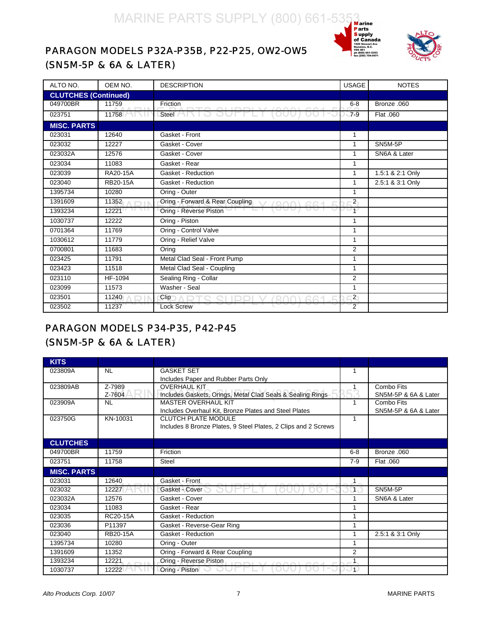## MARINE PARTS SUPPLY (800) 661-5353<br>
Parts Parts Supply<br>
DDELS P32A-P35B, P22-P25, OW2-OW5





#### <span id="page-8-0"></span>PARAGON MODELS P32A-P35B, P22-P25, OW2-OW5 (SN5M-5P & 6A & LATER)

| ALTO NO.                    | OEM NO.         | <b>DESCRIPTION</b>              | <b>USAGE</b>   | <b>NOTES</b>     |
|-----------------------------|-----------------|---------------------------------|----------------|------------------|
| <b>CLUTCHES (Continued)</b> |                 |                                 |                |                  |
| 049700BR                    | 11759           | Friction                        | $6 - 8$        | Bronze .060      |
| 023751                      | 11758           | Steel N                         | $7 - 9$        | Flat .060        |
| <b>MISC. PARTS</b>          |                 |                                 |                |                  |
| 023031                      | 12640           | Gasket - Front                  | 1              |                  |
| 023032                      | 12227           | Gasket - Cover                  | 1              | SN5M-5P          |
| 023032A                     | 12576           | Gasket - Cover                  | 1              | SN6A & Later     |
| 023034                      | 11083           | Gasket - Rear                   | 1              |                  |
| 023039                      | RA20-15A        | Gasket - Reduction              | $\mathbf{1}$   | 1.5:1 & 2:1 Only |
| 023040                      | <b>RB20-15A</b> | Gasket - Reduction              | 1              | 2.5:1 & 3:1 Only |
| 1395734                     | 10280           | Oring - Outer                   | 1              |                  |
| 1391609                     | 11352           | Oring - Forward & Rear Coupling | $\mathbf{2}$   |                  |
| 1393234                     | 12221           | Oring - Reverse Piston          | $\overline{1}$ |                  |
| 1030737                     | 12222           | Oring - Piston                  | $\mathbf{1}$   |                  |
| 0701364                     | 11769           | Oring - Control Valve           | $\overline{1}$ |                  |
| 1030612                     | 11779           | Oring - Relief Valve            | $\mathbf{1}$   |                  |
| 0700801                     | 11683           | Oring                           | 2              |                  |
| 023425                      | 11791           | Metal Clad Seal - Front Pump    | $\mathbf{1}$   |                  |
| 023423                      | 11518           | Metal Clad Seal - Coupling      | $\mathbf{1}$   |                  |
| 023110                      | HF-1094         | Sealing Ring - Collar           | 2              |                  |
| 023099                      | 11573           | Washer - Seal                   | $\mathbf{1}$   |                  |
| 023501                      | 11240           | Clip                            | $\mathbf{2}$   |                  |
| 023502                      | 11237           | <b>Lock Screw</b>               | 2              |                  |

#### PARAGON MODELS P34-P35, P42-P45 (SN5M-5P & 6A & LATER)

| <b>KITS</b>        |                 |                                                                |                |                      |
|--------------------|-----------------|----------------------------------------------------------------|----------------|----------------------|
| 023809A            | <b>NL</b>       | <b>GASKET SET</b>                                              | 1              |                      |
|                    |                 | Includes Paper and Rubber Parts Only                           |                |                      |
| 023809AB           | Z-7989          | <b>OVERHAUL KIT</b>                                            |                | Combo Fits           |
|                    | Z-7604          | Includes Gaskets, Orings, Metal Clad Seals & Sealing Rings     |                | SN5M-5P & 6A & Later |
| 023909A            | <b>NL</b>       | <b>MASTER OVERHAUL KIT</b>                                     |                | Combo Fits           |
|                    |                 | Includes Overhaul Kit, Bronze Plates and Steel Plates          |                | SN5M-5P & 6A & Later |
| 023750G            | KN-10031        | <b>CLUTCH PLATE MODULE</b>                                     | 1              |                      |
|                    |                 | Includes 8 Bronze Plates, 9 Steel Plates, 2 Clips and 2 Screws |                |                      |
|                    |                 |                                                                |                |                      |
| <b>CLUTCHES</b>    |                 |                                                                |                |                      |
| 049700BR           | 11759           | Friction                                                       | $6 - 8$        | Bronze .060          |
| 023751             | 11758           | Steel                                                          | $7-9$          | Flat .060            |
| <b>MISC. PARTS</b> |                 |                                                                |                |                      |
| 023031             | 12640           | Gasket - Front                                                 | 1              |                      |
| 023032             | 12227           | Gasket - Cover                                                 | 1.             | SN5M-5P              |
| 023032A            | 12576           | Gasket - Cover                                                 |                | SN6A & Later         |
| 023034             | 11083           | Gasket - Rear                                                  |                |                      |
| 023035             | RC20-15A        | Gasket - Reduction                                             |                |                      |
| 023036             | P11397          | Gasket - Reverse-Gear Ring                                     |                |                      |
| 023040             | <b>RB20-15A</b> | Gasket - Reduction                                             |                | 2.5:1 & 3:1 Only     |
| 1395734            | 10280           | Oring - Outer                                                  |                |                      |
| 1391609            | 11352           | Oring - Forward & Rear Coupling                                | $\overline{2}$ |                      |
| 1393234            | 12221           | Oring - Reverse Piston                                         | 1              |                      |
| 1030737            | 12222           | Oring - Piston                                                 | $\blacksquare$ |                      |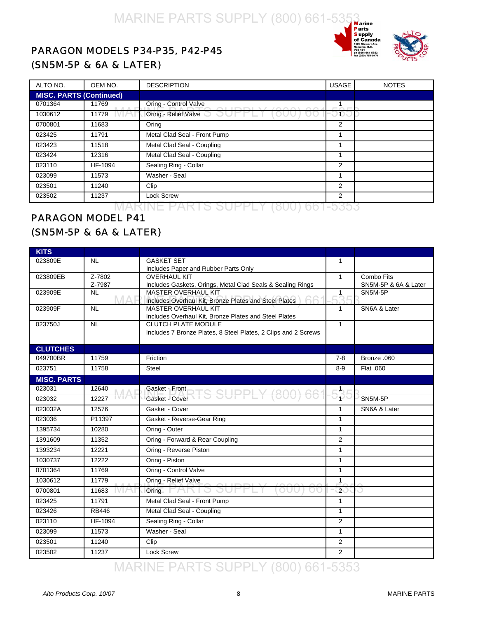

#### <span id="page-9-0"></span>PARAGON MODELS P34-P35, P42-P45 (SN5M-5P & 6A & LATER)

| ALTO NO.                       | OEM NO. | <b>DESCRIPTION</b>                | <b>USAGE</b> | <b>NOTES</b> |  |
|--------------------------------|---------|-----------------------------------|--------------|--------------|--|
| <b>MISC. PARTS (Continued)</b> |         |                                   |              |              |  |
| 0701364                        | 11769   | Oring - Control Valve             |              |              |  |
| 1030612                        | 11779   | Oring - Relief Valve <b>by DI</b> | -O D C       |              |  |
| 0700801                        | 11683   | Oring                             | 2            |              |  |
| 023425                         | 11791   | Metal Clad Seal - Front Pump      |              |              |  |
| 023423                         | 11518   | Metal Clad Seal - Coupling        |              |              |  |
| 023424                         | 12316   | Metal Clad Seal - Coupling        |              |              |  |
| 023110                         | HF-1094 | Sealing Ring - Collar             | 2            |              |  |
| 023099                         | 11573   | Washer - Seal                     |              |              |  |
| 023501                         | 11240   | Clip                              | 2            |              |  |
| 023502                         | 11237   | <b>Lock Screw</b>                 | 2            |              |  |
|                                |         |                                   |              |              |  |

#### PARAGON MODEL P41 (SN5M-5P & 6A & LATER)

| <b>KITS</b>        |                  |                                                                                           |                |                      |
|--------------------|------------------|-------------------------------------------------------------------------------------------|----------------|----------------------|
| 023809E            | <b>NL</b>        | <b>GASKET SET</b>                                                                         | 1              |                      |
|                    |                  | Includes Paper and Rubber Parts Only                                                      |                |                      |
| 023809EB           | $Z - 7802$       | <b>OVERHAUL KIT</b>                                                                       | $\mathbf{1}$   | Combo Fits           |
|                    | Z-7987           | Includes Gaskets, Orings, Metal Clad Seals & Sealing Rings                                |                | SN5M-5P & 6A & Later |
| 023909E            | <b>NL</b><br>MAR | <b>MASTER OVERHAUL KIT</b><br>66<br>Includes Overhaul Kit, Bronze Plates and Steel Plates | 1<br>25        | SN5M-5P              |
| 023909F            | <b>NL</b>        | <b>MASTER OVERHAUL KIT</b>                                                                | 1              | SN6A & Later         |
|                    |                  | Includes Overhaul Kit, Bronze Plates and Steel Plates                                     |                |                      |
| 023750J            | <b>NL</b>        | <b>CLUTCH PLATE MODULE</b>                                                                | $\mathbf{1}$   |                      |
|                    |                  | Includes 7 Bronze Plates, 8 Steel Plates, 2 Clips and 2 Screws                            |                |                      |
| <b>CLUTCHES</b>    |                  |                                                                                           |                |                      |
| 049700BR           | 11759            | Friction                                                                                  | $7 - 8$        | Bronze .060          |
| 023751             | 11758            | <b>Steel</b>                                                                              | $8-9$          | Flat .060            |
| <b>MISC. PARTS</b> |                  |                                                                                           |                |                      |
| 023031             | 12640            | Gasket - Front<br>$C$ CLIDDI V (000)                                                      | $-1$           |                      |
| 023032             | 12227            | Gasket - Cover                                                                            | つわっ            | SN5M-5P              |
| 023032A            | 12576            | Gasket - Cover                                                                            | $\mathbf{1}$   | SN6A & Later         |
| 023036             | P11397           | Gasket - Reverse-Gear Ring                                                                | $\mathbf{1}$   |                      |
| 1395734            | 10280            | Oring - Outer                                                                             | $\mathbf{1}$   |                      |
| 1391609            | 11352            | Oring - Forward & Rear Coupling                                                           | $\overline{2}$ |                      |
| 1393234            | 12221            | Oring - Reverse Piston                                                                    | 1              |                      |
| 1030737            | 12222            | Oring - Piston                                                                            | $\mathbf{1}$   |                      |
| 0701364            | 11769            | Oring - Control Valve                                                                     | $\mathbf{1}$   |                      |
| 1030612            | 11779            | Oring - Relief Valve                                                                      | $\mathbf{1}$   |                      |
| 0700801            | 11683            | Oring                                                                                     | 2 <sup>0</sup> |                      |
| 023425             | 11791            | Metal Clad Seal - Front Pump                                                              | $\mathbf{1}$   |                      |
| 023426             | <b>RB446</b>     | Metal Clad Seal - Coupling                                                                | $\mathbf{1}$   |                      |
| 023110             | HF-1094          | Sealing Ring - Collar                                                                     | 2              |                      |
| 023099             | 11573            | Washer - Seal                                                                             | $\mathbf{1}$   |                      |
| 023501             | 11240            | Clip                                                                                      | 2              |                      |
| 023502             | 11237            | <b>Lock Screw</b>                                                                         | 2              |                      |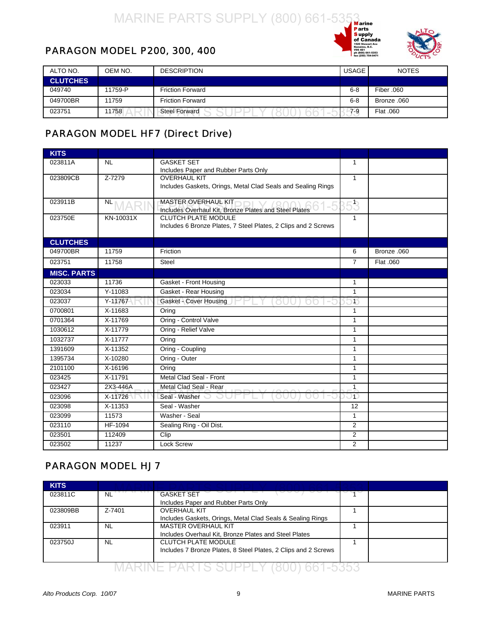



#### <span id="page-10-0"></span>PARAGON MODEL P200, 300, 400

| ALTO NO.        | OEM NO. | <b>DESCRIPTION</b>      | <b>USAGE</b> | <b>NOTES</b> |
|-----------------|---------|-------------------------|--------------|--------------|
| <b>CLUTCHES</b> |         |                         |              |              |
| 049740          | 11759-P | Friction Forward        | $6 - 8$      | Fiber .060   |
| 049700BR        | 11759   | <b>Friction Forward</b> | $6 - 8$      | 060. Bronze  |
| 023751          | 11758   | <b>Steel Forward</b>    | 7-9          | Flat .060    |

#### PARAGON MODEL HF7 (Direct Drive)

| <b>KITS</b>        |              |                                                                |                |             |
|--------------------|--------------|----------------------------------------------------------------|----------------|-------------|
| 023811A            | <b>NL</b>    | <b>GASKET SET</b>                                              | 1              |             |
|                    |              | Includes Paper and Rubber Parts Only                           |                |             |
| 023809CB           | Z-7279       | <b>OVERHAUL KIT</b>                                            | $\mathbf{1}$   |             |
|                    |              | Includes Gaskets, Orings, Metal Clad Seals and Sealing Rings   |                |             |
| 023911B            | <b>NLMAR</b> | MASTER OVERHAUL KIT-<br>61-5                                   | 353            |             |
|                    |              | Includes Overhaul Kit, Bronze Plates and Steel Plates          |                |             |
| 023750E            | KN-10031X    | <b>CLUTCH PLATE MODULE</b>                                     | 1              |             |
|                    |              | Includes 6 Bronze Plates, 7 Steel Plates, 2 Clips and 2 Screws |                |             |
| <b>CLUTCHES</b>    |              |                                                                |                |             |
| 049700BR           | 11759        | Friction                                                       | 6              | Bronze .060 |
| 023751             | 11758        | <b>Steel</b>                                                   | $\overline{7}$ | Flat .060   |
| <b>MISC. PARTS</b> |              |                                                                |                |             |
| 023033             | 11736        | Gasket - Front Housing                                         | 1              |             |
| 023034             | Y-11083      | Gasket - Rear Housing                                          | $\mathbf{1}$   |             |
| 023037             | Y-11767      | <b>Gasket - Cover Housing</b>                                  | 1 <sup>1</sup> |             |
| 0700801            | X-11683      | Oring                                                          | 1              |             |
| 0701364            | X-11769      | Oring - Control Valve                                          | $\mathbf{1}$   |             |
| 1030612            | X-11779      | Oring - Relief Valve                                           | $\mathbf{1}$   |             |
| 1032737            | X-11777      | Oring                                                          | 1              |             |
| 1391609            | X-11352      | Oring - Coupling                                               | $\mathbf{1}$   |             |
| 1395734            | X-10280      | Oring - Outer                                                  | 1              |             |
| 2101100            | X-16196      | Oring                                                          | $\mathbf{1}$   |             |
| 023425             | $X-11791$    | Metal Clad Seal - Front                                        | $\mathbf{1}$   |             |
| 023427             | 2X3-446A     | Metal Clad Seal - Rear                                         | $\mathbf{1}$   |             |
| 023096             | X-11726      | Seal - Washer <b>O</b><br>OUU                                  | ЭŌ             |             |
| 023098             | X-11353      | Seal - Washer                                                  | 12             |             |
| 023099             | 11573        | Washer - Seal                                                  | $\mathbf{1}$   |             |
| 023110             | HF-1094      | Sealing Ring - Oil Dist.                                       | 2              |             |
| 023501             | 112409       | Clip                                                           | 2              |             |
| 023502             | 11237        | <b>Lock Screw</b>                                              | $\overline{2}$ |             |

#### PARAGON MODEL HJ7

| <b>KITS</b> |           |                                                                |  |
|-------------|-----------|----------------------------------------------------------------|--|
| 023811C     | <b>NL</b> | <b>GASKET SET</b>                                              |  |
|             |           | Includes Paper and Rubber Parts Only                           |  |
| 023809BB    | Z-7401    | <b>OVERHAUL KIT</b>                                            |  |
|             |           | Includes Gaskets, Orings, Metal Clad Seals & Sealing Rings     |  |
| 023911      | <b>NL</b> | MASTER OVERHAUL KIT                                            |  |
|             |           | Includes Overhaul Kit, Bronze Plates and Steel Plates          |  |
| 023750J     | <b>NL</b> | <b>CLUTCH PLATE MODULE</b>                                     |  |
|             |           | Includes 7 Bronze Plates, 8 Steel Plates, 2 Clips and 2 Screws |  |
|             |           |                                                                |  |
|             |           |                                                                |  |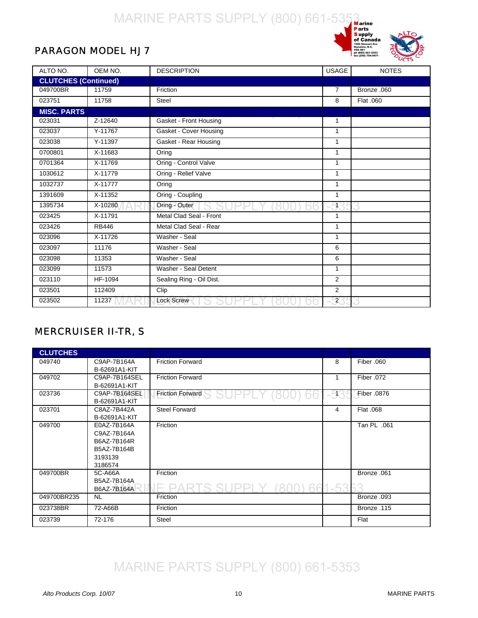

#### <span id="page-11-0"></span>PARAGON MODEL HJ7

| ALTO NO.                    | OEM NO.              | <b>DESCRIPTION</b>       | <b>USAGE</b>          | <b>NOTES</b> |
|-----------------------------|----------------------|--------------------------|-----------------------|--------------|
| <b>CLUTCHES (Continued)</b> |                      |                          |                       |              |
| 049700BR                    | 11759                | Friction                 | $\overline{7}$        | Bronze .060  |
| 023751                      | 11758                | <b>Steel</b>             | 8                     | Flat .060    |
| <b>MISC. PARTS</b>          |                      |                          |                       |              |
| 023031                      | Z-12640              | Gasket - Front Housing   | 1                     |              |
| 023037                      | Y-11767              | Gasket - Cover Housing   | 1                     |              |
| 023038                      | Y-11397              | Gasket - Rear Housing    | $\mathbf{1}$          |              |
| 0700801                     | X-11683              | Oring                    | 1                     |              |
| 0701364                     | X-11769              | Oring - Control Valve    | 1                     |              |
| 1030612                     | X-11779              | Oring - Relief Valve     | $\mathbf{1}$          |              |
| 1032737                     | X-11777              | Oring                    | 1                     |              |
| 1391609                     | X-11352              | Oring - Coupling         | 1                     |              |
| 1395734                     | X-10280              | Oring - Outer            | $\mathbb{H}^{\prime}$ |              |
| 023425                      | X-11791              | Metal Clad Seal - Front  | 1                     |              |
| 023426                      | <b>RB446</b>         | Metal Clad Seal - Rear   | 1                     |              |
| 023096                      | X-11726              | Washer - Seal            | 1                     |              |
| 023097                      | 11176                | Washer - Seal            | 6                     |              |
| 023098                      | 11353                | Washer - Seal            | 6                     |              |
| 023099                      | 11573                | Washer - Seal Detent     | 1                     |              |
| 023110                      | $\overline{HF-1094}$ | Sealing Ring - Oil Dist. | 2                     |              |
| 023501                      | 112409               | Clip                     | $\overline{2}$        |              |
| 023502                      | 11237                | <b>Lock Screw</b>        | $\mathbf{2}$          |              |

#### MERCRUISER II-TR, S

| <b>CLUTCHES</b> |               |                         |       |             |
|-----------------|---------------|-------------------------|-------|-------------|
| 049740          | C9AP-7B164A   | <b>Friction Forward</b> | 8     | Fiber .060  |
|                 | B-62691A1-KIT |                         |       |             |
| 049702          | C9AP-7B164SEL | <b>Friction Forward</b> |       | Fiber .072  |
|                 | B-62691A1-KIT |                         |       |             |
| 023736          | C9AP-7B164SEL | <b>Friction Forward</b> | -935  | Fiber .0876 |
|                 | B-62691A1-KIT |                         |       |             |
| 023701          | C8AZ-7B442A   | <b>Steel Forward</b>    | 4     | Flat .068   |
|                 | B-62691A1-KIT |                         |       |             |
| 049700          | E0AZ-7B164A   | Friction                |       | Tan PL .061 |
|                 | C9AZ-7B164A   |                         |       |             |
|                 | B6AZ-7B164R   |                         |       |             |
|                 | B5AZ-7B164B   |                         |       |             |
|                 | 3193139       |                         |       |             |
|                 | 3186574       |                         |       |             |
| 049700BR        | 5C-A66A       | Friction                |       | Bronze .061 |
|                 | B5AZ-7B164A   |                         |       |             |
|                 | B6AZ-7B164A   |                         | $-52$ |             |
| 049700BR235     | NL.           | Friction                |       | Bronze .093 |
| 023738BR        | 72-A66B       | Friction                |       | Bronze .115 |
| 023739          | 72-176        | Steel                   |       | Flat        |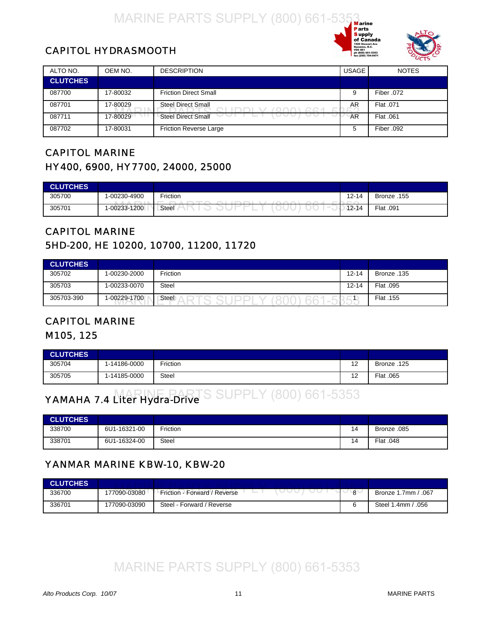



#### <span id="page-12-0"></span>CAPITOL HYDRASMOOTH

| ALTO NO.        | OEM NO.  | <b>DESCRIPTION</b>            | <b>USAGE</b> | <b>NOTES</b> |
|-----------------|----------|-------------------------------|--------------|--------------|
| <b>CLUTCHES</b> |          |                               |              |              |
| 087700          | 17-80032 | <b>Friction Direct Small</b>  | 9            | Fiber .072   |
| 087701          | 17-80029 | <b>Steel Direct Small</b>     | AR           | Flat .071    |
| 087711          | 17-80029 | <b>Steel Direct Small</b>     | AR           | Flat .061    |
| 087702          | 17-80031 | <b>Friction Reverse Large</b> | 5            | Fiber .092   |

#### CAPITOL MARINE HY400, 6900, HY7700, 24000, 25000

| <b>CLUTCHES</b> |                   |                                                                                |           |             |
|-----------------|-------------------|--------------------------------------------------------------------------------|-----------|-------------|
| 305700          | 1-00230-4900<br>. | Friction<br>$\sim$ $\sim$ $\sim$<br>$\sim$ $\sim$ $\sim$ $\sim$<br>----------- | $12 - 14$ | Bronze .155 |
| 305701          | 1-00233-1200      | Steel                                                                          | $12 - 14$ | Flat .091   |

#### CAPITOL MARINE 5HD-200, HE 10200, 10700, 11200, 11720

| <b>CLUTCHES</b> |              |          |           |             |
|-----------------|--------------|----------|-----------|-------------|
| 305702          | 1-00230-2000 | Friction | $12 - 14$ | 135. Bronze |
| 305703          | 1-00233-0070 | Steel    | $12 - 14$ | Flat .095   |
| 305703-390      | 1-00229-1700 | Steel    |           | Flat .155   |

#### CAPITOL MARINE

#### M105, 125

| <b>CLUTCHES</b> |              |              |           |             |
|-----------------|--------------|--------------|-----------|-------------|
| 305704          | 1-14186-0000 | rction       | 12<br>' 4 | Bronze .125 |
| 305705          | 1-14185-0000 | <b>Steel</b> | 12        | Flat .065   |

#### YAMAHA 7.4 Liter Hydra-Drive **S SUPPLY (800) 661-5353**

| <b>CLUTCHES</b> |              |          |    |             |
|-----------------|--------------|----------|----|-------------|
| 338700          | 6U1-16321-00 | Friction | 14 | Bronze .085 |
| 338701          | 6U1-16324-00 | Steel    | 14 | Flat .048   |

#### YANMAR MARINE KBW-10, KBW-20

| <b>CLUTCHES</b> |              |                              |          |                       |
|-----------------|--------------|------------------------------|----------|-----------------------|
| 336700          | 177090-03080 | Friction - Forward / Reverse | $\Omega$ | Bronze 1.7mm / .067   |
| 336701          | 177090-03090 | Steel - Forward / Reverse    |          | .056<br>Steel 1.4mm / |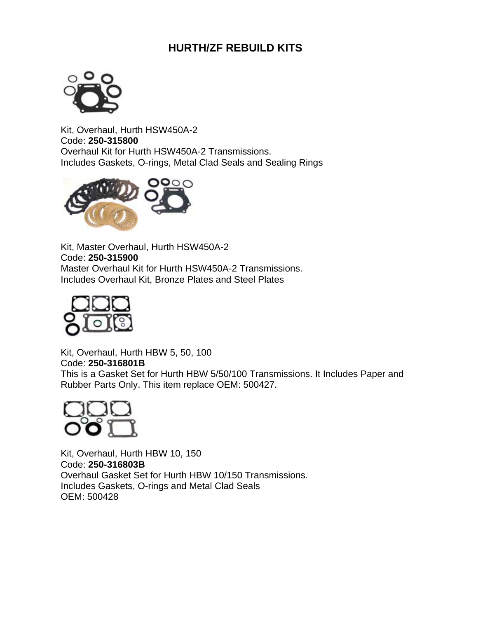#### **HURTH/ZF REBUILD KITS**



Kit, Overhaul, Hurth HSW450A-2 Code: **250-315800** Overhaul Kit for Hurth HSW450A-2 Transmissions. Includes Gaskets, O-rings, Metal Clad Seals and Sealing Rings



Kit, Master Overhaul, Hurth HSW450A-2 Code: **250-315900** Master Overhaul Kit for Hurth HSW450A-2 Transmissions. Includes Overhaul Kit, Bronze Plates and Steel Plates



Kit, Overhaul, Hurth HBW 5, 50, 100 Code: **250-316801B** This is a Gasket Set for Hurth HBW 5/50/100 Transmissions. It Includes Paper and Rubber Parts Only. This item replace OEM: 500427.



Kit, Overhaul, Hurth HBW 10, 150 Code: **250-316803B** Overhaul Gasket Set for Hurth HBW 10/150 Transmissions. Includes Gaskets, O-rings and Metal Clad Seals OEM: 500428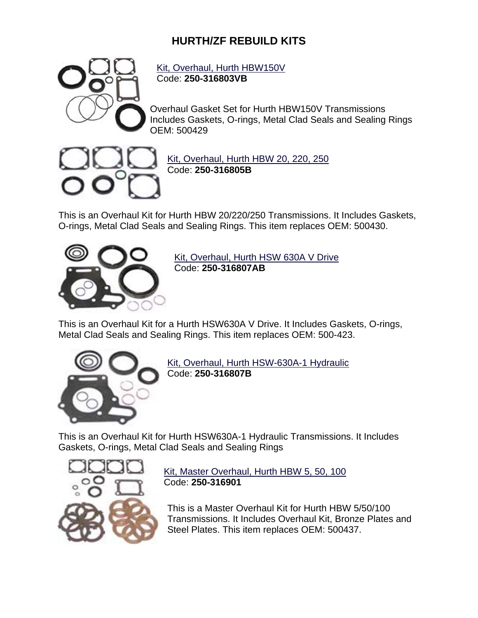#### **HURTH/ZF REBUILD KITS**



Kit, Overhaul, Hurth HBW150V Code: **250-316803VB**

Overhaul Gasket Set for Hurth HBW150V Transmissions Includes Gaskets, O-rings, Metal Clad Seals and Sealing Rings OEM: 500429



Kit, Overhaul, Hurth HBW 20, 220, 250 Code: **250-316805B**

This is an Overhaul Kit for Hurth HBW 20/220/250 Transmissions. It Includes Gaskets, O-rings, Metal Clad Seals and Sealing Rings. This item replaces OEM: 500430.



Kit, Overhaul, Hurth HSW 630A V Drive Code: **250-316807AB**

This is an Overhaul Kit for a Hurth HSW630A V Drive. It Includes Gaskets, O-rings, Metal Clad Seals and Sealing Rings. This item replaces OEM: 500-423.



Kit, Overhaul, Hurth HSW-630A-1 Hydraulic Code: **250-316807B**

This is an Overhaul Kit for Hurth HSW630A-1 Hydraulic Transmissions. It Includes Gaskets, O-rings, Metal Clad Seals and Sealing Rings



Kit, Master Overhaul, Hurth HBW 5, 50, 100 Code: **250-316901**

This is a Master Overhaul Kit for Hurth HBW 5/50/100 Transmissions. It Includes Overhaul Kit, Bronze Plates and Steel Plates. This item replaces OEM: 500437.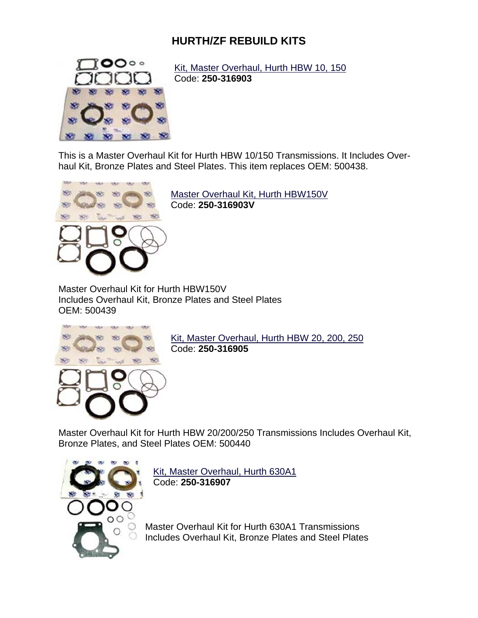#### **HURTH/ZF REBUILD KITS**



Kit, Master Overhaul, Hurth HBW 10, 150 Code: **250-316903**

This is a Master Overhaul Kit for Hurth HBW 10/150 Transmissions. It Includes Overhaul Kit, Bronze Plates and Steel Plates. This item replaces OEM: 500438.



Master Overhaul Kit, Hurth HBW150V Code: **250-316903V**

Master Overhaul Kit for Hurth HBW150V Includes Overhaul Kit, Bronze Plates and Steel Plates OEM: 500439



Kit, Master Overhaul, Hurth HBW 20, 200, 250 Code: **250-316905**

Master Overhaul Kit for Hurth HBW 20/200/250 Transmissions Includes Overhaul Kit, Bronze Plates, and Steel Plates OEM: 500440



Kit, Master Overhaul, Hurth 630A1 Code: **250-316907**

Master Overhaul Kit for Hurth 630A1 Transmissions Includes Overhaul Kit, Bronze Plates and Steel Plates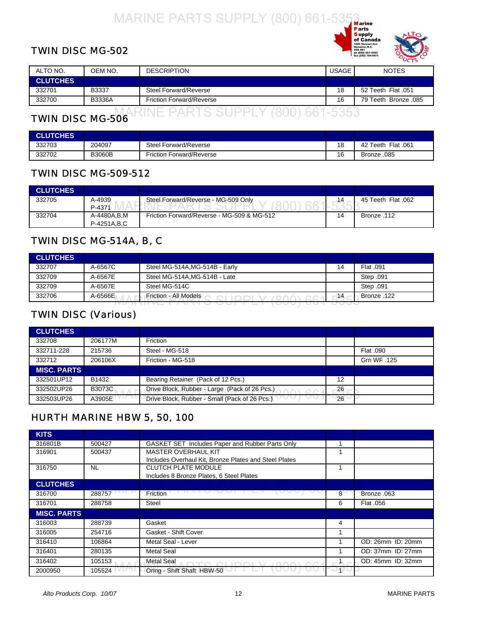#### <span id="page-16-0"></span>TWIN DISC MG-502



| ALTO NO.        | OEM NO.       | <b>DESCRIPTION</b>              | USAGE | <b>NOTES</b>         |
|-----------------|---------------|---------------------------------|-------|----------------------|
| <b>CLUTCHES</b> |               |                                 |       |                      |
| 332701          | B3337         | Steel Forward/Reverse           | 18    | 52 Teeth Flat .051   |
| 332700          | <b>B3336A</b> | <b>Friction Forward/Reverse</b> | 16    | 79 Teeth Bronze .085 |
|                 |               |                                 |       |                      |

#### TWIN DISC MG-506 MARINE PARTS SUPPLY (800) 661-5353

| <b>CLUTCHES</b> |               |                                 |    |                    |
|-----------------|---------------|---------------------------------|----|--------------------|
| 332703          | 204097        | Steel Forward/Reverse           | 18 | 42 Teeth Flat .061 |
| 332702          | <b>B3060B</b> | <b>Friction Forward/Reverse</b> | 16 | Bronze .085        |

#### TWIN DISC MG-509-512

| <b>CLUTCHES</b> |               |                                            |    |                    |
|-----------------|---------------|--------------------------------------------|----|--------------------|
| 332705          | A-4939        | Steel Forward/Reverse - MG-509 Only        |    | 45 Teeth Flat .062 |
|                 | P-4371        |                                            |    |                    |
| 332704          | A-4480A.B.M   | Friction Forward/Reverse - MG-509 & MG-512 | 14 | 112. Bronze        |
|                 | P-4251A, B, C |                                            |    |                    |

#### TWIN DISC MG-514A, B, C

| <b>CLUTCHES</b> |         |                               |    |             |
|-----------------|---------|-------------------------------|----|-------------|
| 332707          | A-6567C | Steel MG-514A.MG-514B - Early | 14 | Flat .091   |
| 332709          | A-6567E | Steel MG-514A, MG-514B - Late |    | Step .091   |
| 332709          | A-6567E | Steel MG-514C                 |    | Step .091   |
| 332706          | A-6566E | Friction - All Models         | 14 | 122. Bronze |
|                 |         |                               |    |             |

#### TWIN DISC (Various)

| <b>CLUTCHES</b>    |               |                                                             |    |             |
|--------------------|---------------|-------------------------------------------------------------|----|-------------|
| 332708             | 206177M       | Friction                                                    |    |             |
| 332711-228         | 215736        | Steel - MG-518                                              |    | Flat .090   |
| 332712             | 206106X       | Friction - MG-518                                           |    | Grn WF .125 |
| <b>MISC. PARTS</b> |               |                                                             |    |             |
| 332501UP12         | B1432         | Bearing Retainer (Pack of 12 Pcs.)                          | 12 |             |
| 332502UP26         | <b>B3073C</b> | Drive Block, Rubber - Large (Pack of 26 Pcs.)<br>$\sqrt{2}$ | 26 |             |
| 332503UP26         | A3905E        | Drive Block, Rubber - Small (Pack of 26 Pcs.)               | 26 |             |

#### HURTH MARINE HBW 5, 50, 100

| <b>KITS</b>        |           |                                                       |    |                   |
|--------------------|-----------|-------------------------------------------------------|----|-------------------|
| 316801B            | 500427    | GASKET SET Includes Paper and Rubber Parts Only       |    |                   |
| 316901             | 500437    | <b>MASTER OVERHAUL KIT</b>                            |    |                   |
|                    |           | Includes Overhaul Kit, Bronze Plates and Steel Plates |    |                   |
| 316750             | <b>NL</b> | <b>CLUTCH PLATE MODULE</b>                            |    |                   |
|                    |           | Includes 8 Bronze Plates, 6 Steel Plates              |    |                   |
| <b>CLUTCHES</b>    |           |                                                       |    |                   |
| 316700             | 288757    | Friction                                              | 8  | Bronze .063       |
| 316701             | 288758    | Steel                                                 | 6  | Flat .056         |
| <b>MISC. PARTS</b> |           |                                                       |    |                   |
| 316003             | 288739    | Gasket                                                | 4  |                   |
| 316005             | 254716    | Gasket - Shift Cover                                  |    |                   |
| 316410             | 106864    | Metal Seal - Lever                                    |    | OD: 26mm ID: 20mm |
| 316401             | 280135    | <b>Metal Seal</b>                                     |    | OD: 37mm ID: 27mm |
| 316402             | 105153    | <b>Metal Seal</b>                                     |    | OD: 45mm ID: 32mm |
| 2000950            | 105524    | Oring - Shift Shaft HBW-50                            | ு∪ |                   |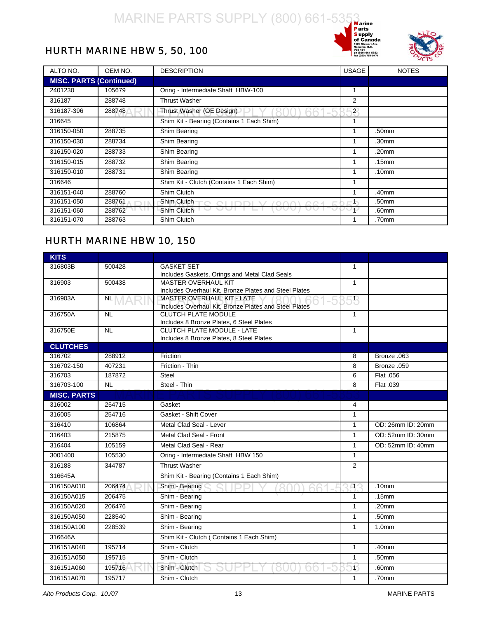



#### <span id="page-17-0"></span>HURTH MARINE HBW 5, 50, 100

| ALTO NO.                       | OEM NO. | <b>DESCRIPTION</b>                        | <b>USAGE</b>   | <b>NOTES</b> |
|--------------------------------|---------|-------------------------------------------|----------------|--------------|
| <b>MISC. PARTS (Continued)</b> |         |                                           |                |              |
| 2401230                        | 105679  | Oring - Intermediate Shaft HBW-100        | 1              |              |
| 316187                         | 288748  | <b>Thrust Washer</b>                      | 2              |              |
| 316187-396                     | 288748  | Thrust Washer (OE Design)                 | $\overline{2}$ |              |
| 316645                         |         | Shim Kit - Bearing (Contains 1 Each Shim) |                |              |
| 316150-050                     | 288735  | Shim Bearing                              |                | .50mm        |
| 316150-030                     | 288734  | Shim Bearing                              |                | .30mm        |
| 316150-020                     | 288733  | Shim Bearing                              |                | .20mm        |
| 316150-015                     | 288732  | Shim Bearing                              |                | .15mm        |
| 316150-010                     | 288731  | Shim Bearing                              |                | .10mm        |
| 316646                         |         | Shim Kit - Clutch (Contains 1 Each Shim)  | 1              |              |
| 316151-040                     | 288760  | Shim Clutch                               |                | .40mm        |
| 316151-050                     | 288761  | Shim Clutch<br>$\cap$ $\cap$ $\land$      | $-1$           | .50mm        |
| 316151-060                     | 288762  | Shim Clutch                               | ு              | .60mm        |
| 316151-070                     | 288763  | Shim Clutch                               |                | .70mm        |

#### HURTH MARINE HBW 10, 150

| <b>KITS</b>        |           |                                                                                     |              |                   |
|--------------------|-----------|-------------------------------------------------------------------------------------|--------------|-------------------|
| 316803B            | 500428    | <b>GASKET SET</b>                                                                   | 1            |                   |
|                    |           | Includes Gaskets, Orings and Metal Clad Seals                                       |              |                   |
| 316903             | 500438    | <b>MASTER OVERHAUL KIT</b>                                                          | $\mathbf{1}$ |                   |
|                    |           | Includes Overhaul Kit, Bronze Plates and Steel Plates                               |              |                   |
| 316903A            | NL        | MASTER OVERHAUL KIT - LATE<br>Includes Overhaul Kit, Bronze Plates and Steel Plates | 58           |                   |
| 316750A            | <b>NL</b> | <b>CLUTCH PLATE MODULE</b>                                                          | $\mathbf{1}$ |                   |
|                    |           | Includes 8 Bronze Plates, 6 Steel Plates                                            |              |                   |
| 316750E            | <b>NL</b> | <b>CLUTCH PLATE MODULE - LATE</b>                                                   | $\mathbf{1}$ |                   |
|                    |           | Includes 8 Bronze Plates, 8 Steel Plates                                            |              |                   |
| <b>CLUTCHES</b>    |           |                                                                                     |              |                   |
| 316702             | 288912    | Friction                                                                            | 8            | Bronze .063       |
| 316702-150         | 407231    | Friction - Thin                                                                     | 8            | Bronze .059       |
| 316703             | 187872    | Steel                                                                               | 6            | Flat .056         |
| 316703-100         | <b>NL</b> | Steel - Thin                                                                        | 8            | Flat .039         |
| <b>MISC. PARTS</b> |           |                                                                                     |              |                   |
| 316002             | 254715    | Gasket                                                                              | 4            |                   |
| 316005             | 254716    | Gasket - Shift Cover                                                                | $\mathbf{1}$ |                   |
| 316410             | 106864    | Metal Clad Seal - Lever                                                             | $\mathbf{1}$ | OD: 26mm ID: 20mm |
| 316403             | 215875    | Metal Clad Seal - Front                                                             | $\mathbf{1}$ | OD: 52mm ID: 30mm |
| 316404             | 105159    | Metal Clad Seal - Rear                                                              | $\mathbf{1}$ | OD: 52mm ID: 40mm |
| 3001400            | 105530    | Oring - Intermediate Shaft HBW 150                                                  | $\mathbf{1}$ |                   |
| 316188             | 344787    | <b>Thrust Washer</b>                                                                | 2            |                   |
| 316645A            |           | Shim Kit - Bearing (Contains 1 Each Shim)                                           |              |                   |
| 316150A010         | 206474    | Shim - Bearing                                                                      | EI 1         | .10 <sub>mm</sub> |
| 316150A015         | 206475    | Shim - Bearing                                                                      | $\mathbf{1}$ | .15mm             |
| 316150A020         | 206476    | Shim - Bearing                                                                      | $\mathbf{1}$ | .20mm             |
| 316150A050         | 228540    | Shim - Bearing                                                                      | $\mathbf{1}$ | .50mm             |
| 316150A100         | 228539    | Shim - Bearing                                                                      | $\mathbf{1}$ | 1.0 <sub>mm</sub> |
| 316646A            |           | Shim Kit - Clutch (Contains 1 Each Shim)                                            |              |                   |
| 316151A040         | 195714    | Shim - Clutch                                                                       | $\mathbf{1}$ | .40mm             |
| 316151A050         | 195715    | Shim - Clutch                                                                       | $\mathbf{1}$ | .50mm             |
| 316151A060         | 195716    | Shim - Clutch                                                                       | 15           | .60mm             |
| 316151A070         | 195717    | Shim - Clutch                                                                       | $\mathbf{1}$ | .70mm             |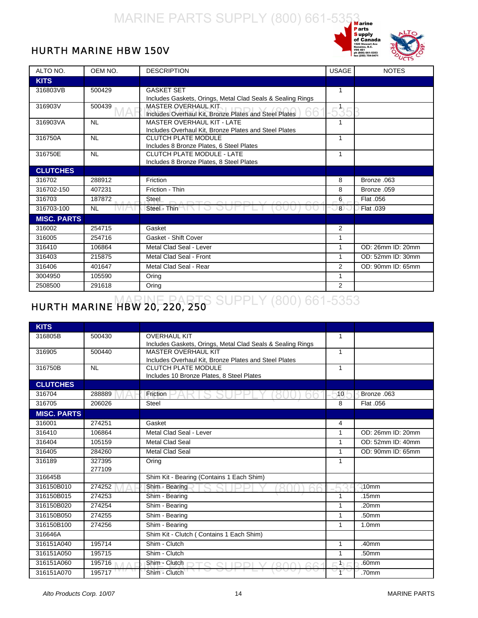



#### <span id="page-18-0"></span>HURTH MARINE HBW 150V

| ALTO NO.           | OEM NO.   | <b>DESCRIPTION</b>                                                                 | <b>USAGE</b>   | <b>NOTES</b>      |
|--------------------|-----------|------------------------------------------------------------------------------------|----------------|-------------------|
| <b>KITS</b>        |           |                                                                                    |                |                   |
| 316803VB           | 500429    | <b>GASKET SET</b>                                                                  | 1              |                   |
|                    |           | Includes Gaskets, Orings, Metal Clad Seals & Sealing Rings                         |                |                   |
| 316903V            | 500439    | MASTER OVERHAUL KIT<br>hh<br>Includes Overhaul Kit, Bronze Plates and Steel Plates |                |                   |
| 316903VA           | <b>NL</b> | <b>MASTER OVERHAUL KIT - LATE</b>                                                  | 1              |                   |
|                    |           | Includes Overhaul Kit, Bronze Plates and Steel Plates                              |                |                   |
| 316750A            | <b>NL</b> | <b>CLUTCH PLATE MODULE</b>                                                         | 1              |                   |
|                    |           | Includes 8 Bronze Plates, 6 Steel Plates                                           |                |                   |
| 316750E            | <b>NL</b> | <b>CLUTCH PLATE MODULE - LATE</b>                                                  | $\mathbf{1}$   |                   |
|                    |           | Includes 8 Bronze Plates, 8 Steel Plates                                           |                |                   |
| <b>CLUTCHES</b>    |           |                                                                                    |                |                   |
| 316702             | 288912    | Friction                                                                           | 8              | Bronze .063       |
| 316702-150         | 407231    | Friction - Thin                                                                    | 8              | Bronze .059       |
| 316703             | 187872    | Steel                                                                              | 6              | Flat .056         |
| 316703-100         | <b>NL</b> | Steel - Thin                                                                       | $\overline{8}$ | Flat .039         |
| <b>MISC. PARTS</b> |           |                                                                                    |                |                   |
| 316002             | 254715    | Gasket                                                                             | $\overline{2}$ |                   |
| 316005             | 254716    | Gasket - Shift Cover                                                               | 1              |                   |
| 316410             | 106864    | Metal Clad Seal - Lever                                                            | 1              | OD: 26mm ID: 20mm |
| 316403             | 215875    | Metal Clad Seal - Front                                                            | 1              | OD: 52mm ID: 30mm |
| 316406             | 401647    | Metal Clad Seal - Rear                                                             | 2              | OD: 90mm ID: 65mm |
| 3004950            | 105590    | Oring                                                                              | 1              |                   |
| 2508500            | 291618    | Oring                                                                              | 2              |                   |

#### **HURTH MARINE HBW 20, 220, 250** SUPPLY (800) 661-5353

| <b>KITS</b>        |                  |                                                                                          |              |                   |
|--------------------|------------------|------------------------------------------------------------------------------------------|--------------|-------------------|
|                    |                  |                                                                                          |              |                   |
| 316805B            | 500430           | <b>OVERHAUL KIT</b>                                                                      | $\mathbf{1}$ |                   |
| 316905             | 500440           | Includes Gaskets, Orings, Metal Clad Seals & Sealing Rings<br><b>MASTER OVERHAUL KIT</b> | $\mathbf{1}$ |                   |
|                    |                  | Includes Overhaul Kit, Bronze Plates and Steel Plates                                    |              |                   |
| 316750B            | <b>NL</b>        | <b>CLUTCH PLATE MODULE</b>                                                               | $\mathbf{1}$ |                   |
|                    |                  | Includes 10 Bronze Plates, 8 Steel Plates                                                |              |                   |
| <b>CLUTCHES</b>    |                  |                                                                                          |              |                   |
| 316704             | 288889           | Friction                                                                                 | 10           | Bronze .063       |
| 316705             | 206026           | <b>Steel</b>                                                                             | 8            | Flat .056         |
| <b>MISC. PARTS</b> |                  |                                                                                          |              |                   |
| 316001             | 274251           | Gasket                                                                                   | 4            |                   |
| 316410             | 106864           | Metal Clad Seal - Lever                                                                  | $\mathbf{1}$ | OD: 26mm ID: 20mm |
| 316404             | 105159           | <b>Metal Clad Seal</b>                                                                   | $\mathbf{1}$ | OD: 52mm ID: 40mm |
| 316405             | 284260           | <b>Metal Clad Seal</b>                                                                   | 1            | OD: 90mm ID: 65mm |
| 316189             | 327395<br>277109 | Oring                                                                                    | $\mathbf{1}$ |                   |
| 316645B            |                  | Shim Kit - Bearing (Contains 1 Each Shim)                                                |              |                   |
| 316150B010         | 274252           | Shim - Bearing                                                                           |              | .10 <sub>mm</sub> |
| 316150B015         | 274253           | Shim - Bearing                                                                           | $\mathbf{1}$ | .15mm             |
| 316150B020         | 274254           | Shim - Bearing                                                                           | $\mathbf{1}$ | .20 <sub>mm</sub> |
| 316150B050         | 274255           | Shim - Bearing                                                                           | $\mathbf{1}$ | .50mm             |
| 316150B100         | 274256           | Shim - Bearing                                                                           | 1            | 1.0 <sub>mm</sub> |
| 316646A            |                  | Shim Kit - Clutch (Contains 1 Each Shim)                                                 |              |                   |
| 316151A040         | 195714           | Shim - Clutch                                                                            | $\mathbf{1}$ | .40 <sub>mm</sub> |
| 316151A050         | 195715           | Shim - Clutch                                                                            | $\mathbf{1}$ | .50mm             |
| 316151A060         | 195716           | Shim - Clutch                                                                            | th.          | .60mm             |
| 316151A070         | 195717           | Shim - Clutch                                                                            | $\mathbf{f}$ | .70mm             |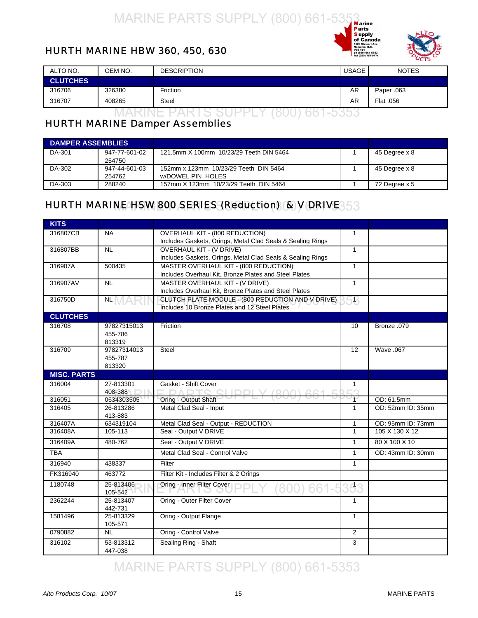



#### <span id="page-19-0"></span>HURTH MARINE HBW 360, 450, 630

| ALTO NO.                 | OEM NO. | <b>DESCRIPTION</b> | <b>USAGE</b> | <b>NOTES</b> |  |
|--------------------------|---------|--------------------|--------------|--------------|--|
| <b>CLUTCHES</b>          |         |                    |              |              |  |
| 316706                   | 326380  | Friction           | AR           | Paper .063   |  |
| 316707                   | 408265  | <b>Steel</b>       | AR           | Flat .056    |  |
| $\overline{\phantom{a}}$ |         |                    |              |              |  |

#### HURTH MARINE Damper Assemblies

| <b>DAMPER ASSEMBLIES</b> |               |                                         |               |
|--------------------------|---------------|-----------------------------------------|---------------|
| DA-301                   | 947-77-601-02 | 121.5mm X 100mm 10/23/29 Teeth DIN 5464 | 45 Degree x 8 |
|                          | 254750        |                                         |               |
| DA-302                   | 947-44-601-03 | 152mm x 123mm 10/23/29 Teeth DIN 5464   | 45 Degree x 8 |
|                          | 254762        | w/DOWEL PIN HOLES                       |               |
| DA-303                   | 288240        | 157mm X 123mm 10/23/29 Teeth DIN 5464   | 72 Degree x 5 |

#### HURTH MARINE HSW 800 SERIES (Reduction) & <code>V</code> DRIVE  $53\,$

| <b>KITS</b>        |                        |                                                            |                 |                   |
|--------------------|------------------------|------------------------------------------------------------|-----------------|-------------------|
| 316807CB           | <b>NA</b>              | <b>OVERHAUL KIT - (800 REDUCTION)</b>                      | 1               |                   |
|                    |                        | Includes Gaskets, Orings, Metal Clad Seals & Sealing Rings |                 |                   |
| 316807BB           | <b>NL</b>              | <b>OVERHAUL KIT - (V DRIVE)</b>                            | $\mathbf{1}$    |                   |
|                    |                        | Includes Gaskets, Orings, Metal Clad Seals & Sealing Rings |                 |                   |
| 316907A            | 500435                 | MASTER OVERHAUL KIT - (800 REDUCTION)                      | $\mathbf{1}$    |                   |
|                    |                        | Includes Overhaul Kit, Bronze Plates and Steel Plates      |                 |                   |
| 316907AV           | $\overline{\text{NL}}$ | MASTER OVERHAUL KIT - (V DRIVE)                            | $\mathbf{1}$    |                   |
|                    |                        | Includes Overhaul Kit, Bronze Plates and Steel Plates      |                 |                   |
| 316750D            | NL                     | CLUTCH PLATE MODULE - (800 REDUCTION AND V DRIVE)          | 5B              |                   |
|                    |                        | Includes 10 Bronze Plates and 12 Steel Plates              |                 |                   |
| <b>CLUTCHES</b>    |                        |                                                            |                 |                   |
| 316708             | 97827315013            | Friction                                                   | 10 <sup>1</sup> | Bronze .079       |
|                    | 455-786                |                                                            |                 |                   |
| 316709             | 813319<br>97827314013  | Steel                                                      | 12              | Wave .067         |
|                    | 455-787                |                                                            |                 |                   |
|                    | 813320                 |                                                            |                 |                   |
| <b>MISC. PARTS</b> |                        |                                                            |                 |                   |
| 316004             | 27-813301              | Gasket - Shift Cover                                       | 1               |                   |
|                    | 408-388                | $\Box$ $\Lambda$<br>DTO OLIDDI                             | пn              |                   |
| 316051             | 0634303505             | Oring - Output Shaft                                       | $\mathbf{1}$    | OD: 61.5mm        |
| 316405             | 26-813286              | Metal Clad Seal - Input                                    | $\mathbf{1}$    | OD: 52mm ID: 35mm |
|                    | 413-883                |                                                            |                 |                   |
| 316407A            | 634319104              | Metal Clad Seal - Output - REDUCTION                       | $\mathbf{1}$    | OD: 95mm ID: 73mm |
| 316408A            | 105-113                | Seal - Output V DRIVE                                      | $\mathbf{1}$    | 105 X 130 X 12    |
| 316409A            | 480-762                | Seal - Output V DRIVE                                      | $\mathbf{1}$    | 80 X 100 X 10     |
| <b>TBA</b>         |                        | Metal Clad Seal - Control Valve                            | $\mathbf{1}$    | OD: 43mm ID: 30mm |
| 316940             | 438337                 | Filter                                                     | $\mathbf{1}$    |                   |
| FK316940           | 463772                 | Filter Kit - Includes Filter & 2 Orings                    |                 |                   |
| 1180748            | 25-813406<br>105-542   | Oring - Inner Filter Cover<br>661-                         | 53              |                   |
| 2362244            | 25-813407<br>442-731   | Oring - Outer Filter Cover                                 | $\mathbf{1}$    |                   |
| 1581496            | 25-813329<br>105-571   | Oring - Output Flange                                      | $\mathbf{1}$    |                   |
| 0790882            | <b>NL</b>              | Oring - Control Valve                                      | $\overline{2}$  |                   |
| 316102             | 53-813312<br>447-038   | Sealing Ring - Shaft                                       | 3               |                   |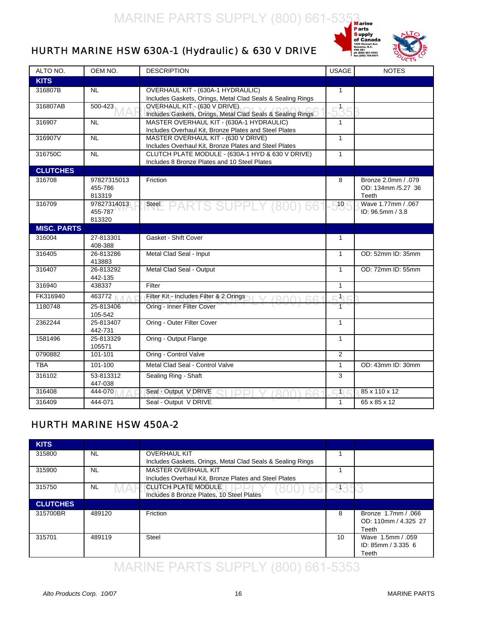

#### <span id="page-20-0"></span>HURTH MARINE HSW 630A-1 (Hydraulic) & 630 V DRIVE

| ALTO NO.           | OEM NO.              | <b>DESCRIPTION</b>                                                                           | <b>USAGE</b>         | <b>NOTES</b>        |
|--------------------|----------------------|----------------------------------------------------------------------------------------------|----------------------|---------------------|
| <b>KITS</b>        |                      |                                                                                              |                      |                     |
| 316807B            | <b>NL</b>            | OVERHAUL KIT - (630A-1 HYDRAULIC)                                                            | $\mathbf{1}$         |                     |
|                    |                      | Includes Gaskets, Orings, Metal Clad Seals & Sealing Rings                                   |                      |                     |
| 316807AB           | 500-423              | OVERHAUL KIT - (630 V DRIVE)                                                                 | 35                   |                     |
|                    |                      | Includes Gaskets, Orings, Metal Clad Seals & Sealing Rings                                   |                      |                     |
| 316907             | <b>NL</b>            | MASTER OVERHAUL KIT - (630A-1 HYDRAULIC)                                                     | 1                    |                     |
| 316907V            | <b>NL</b>            | Includes Overhaul Kit, Bronze Plates and Steel Plates<br>MASTER OVERHAUL KIT - (630 V DRIVE) | $\mathbf{1}$         |                     |
|                    |                      | Includes Overhaul Kit, Bronze Plates and Steel Plates                                        |                      |                     |
| 316750C            | <b>NL</b>            | CLUTCH PLATE MODULE - (630A-1 HYD & 630 V DRIVE)                                             | $\mathbf{1}$         |                     |
|                    |                      | Includes 8 Bronze Plates and 10 Steel Plates                                                 |                      |                     |
| <b>CLUTCHES</b>    |                      |                                                                                              |                      |                     |
| 316708             | 97827315013          | Friction                                                                                     | 8                    | Bronze 2.0mm / .079 |
|                    | 455-786              |                                                                                              |                      | OD: 134mm /5.27 36  |
|                    | 813319               |                                                                                              |                      | Teeth               |
| 316709             | 97827314013          | Steel PARTS SUPPLY (8)                                                                       | 10 <sub>l</sub>      | Wave 1.77mm / .067  |
|                    | 455-787<br>813320    |                                                                                              |                      | ID: 96.5mm / 3.8    |
| <b>MISC. PARTS</b> |                      |                                                                                              |                      |                     |
| 316004             | 27-813301            | Gasket - Shift Cover                                                                         | 1                    |                     |
|                    | 408-388              |                                                                                              |                      |                     |
| 316405             | 26-813286            | Metal Clad Seal - Input                                                                      | $\mathbf{1}$         | OD: 52mm ID: 35mm   |
|                    | 413883               |                                                                                              |                      |                     |
| 316407             | 26-813292            | Metal Clad Seal - Output                                                                     | $\mathbf{1}$         | OD: 72mm ID: 55mm   |
|                    | 442-135              |                                                                                              |                      |                     |
| 316940             | 438337               | Filter                                                                                       | $\mathbf{1}$         |                     |
| FK316940           | 463772               | Filter Kit - Includes Filter & 2 Orings<br>$(0 \cap$                                         | $\ddot{\phantom{1}}$ |                     |
| 1180748            | 25-813406            | Oring - Inner Filter Cover                                                                   | $\top$               |                     |
|                    | 105-542              |                                                                                              |                      |                     |
| 2362244            | 25-813407            | Oring - Outer Filter Cover                                                                   | $\mathbf{1}$         |                     |
| 1581496            | 442-731<br>25-813329 | Oring - Output Flange                                                                        | $\mathbf{1}$         |                     |
|                    | 105571               |                                                                                              |                      |                     |
| 0790882            | 101-101              | Oring - Control Valve                                                                        | $\overline{2}$       |                     |
| <b>TBA</b>         | 101-100              | Metal Clad Seal - Control Valve                                                              | $\mathbf{1}$         | OD: 43mm ID: 30mm   |
| 316102             | 53-813312            | Sealing Ring - Shaft                                                                         | 3                    |                     |
|                    | 447-038              |                                                                                              |                      |                     |
| 316408             | 444-070              | Seal - Output V DRIVE                                                                        | Ð                    | 85 x 110 x 12       |
| 316409             | 444-071              | Seal - Output V DRIVE                                                                        | $\overline{1}$       | 65 x 85 x 12        |

#### HURTH MARINE HSW 450A-2

| <b>KITS</b>     |           |                                                            |      |                      |
|-----------------|-----------|------------------------------------------------------------|------|----------------------|
| 315800          | <b>NL</b> | <b>OVERHAUL KIT</b>                                        |      |                      |
|                 |           | Includes Gaskets, Orings, Metal Clad Seals & Sealing Rings |      |                      |
| 315900          | <b>NL</b> | <b>MASTER OVERHAUL KIT</b>                                 |      |                      |
|                 |           | Includes Overhaul Kit, Bronze Plates and Steel Plates      |      |                      |
| 315750          | <b>NL</b> | <b>CLUTCH PLATE MODULE</b><br>001                          | -935 |                      |
|                 |           | Includes 8 Bronze Plates, 10 Steel Plates                  |      |                      |
| <b>CLUTCHES</b> |           |                                                            |      |                      |
| 315700BR        | 489120    | Friction                                                   | 8    | Bronze 1.7mm / .066  |
|                 |           |                                                            |      | OD: 110mm / 4.325 27 |
|                 |           |                                                            |      | Teeth                |
| 315701          | 489119    | <b>Steel</b>                                               | 10   | Wave 1.5mm / .059    |
|                 |           |                                                            |      | ID: $85mm / 3.3356$  |
|                 |           |                                                            |      | Teeth                |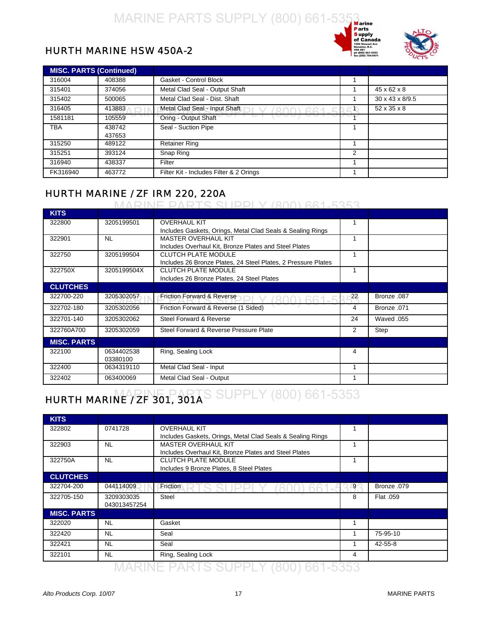



#### <span id="page-21-0"></span>HURTH MARINE HSW 450A-2

| <b>MISC. PARTS (Continued)</b> |        |                                         |   |                         |
|--------------------------------|--------|-----------------------------------------|---|-------------------------|
| 316004                         | 408388 | Gasket - Control Block                  |   |                         |
| 315401                         | 374056 | Metal Clad Seal - Output Shaft          |   | $45 \times 62 \times 8$ |
| 315402                         | 500065 | Metal Clad Seal - Dist. Shaft           |   | 30 x 43 x 8/9.5         |
| 316405                         | 413883 | Metal Clad Seal - Input Shaft           |   | 52 x 35 x 8             |
| 1581181                        | 105559 | Oring - Output Shaft                    |   |                         |
| TBA                            | 438742 | Seal - Suction Pipe                     |   |                         |
|                                | 437653 |                                         |   |                         |
| 315250                         | 489122 | <b>Retainer Ring</b>                    |   |                         |
| 315251                         | 393124 | Snap Ring                               | 2 |                         |
| 316940                         | 438337 | Filter                                  |   |                         |
| FK316940                       | 463772 | Filter Kit - Includes Filter & 2 Orings |   |                         |

#### HURTH MARINE / ZF IRM 220, 220A

#### MARINE PARTS SUPPLY (800) 661-5353

| <b>KITS</b>        |             |                                                               |    |             |
|--------------------|-------------|---------------------------------------------------------------|----|-------------|
| 322800             | 3205199501  | <b>OVERHAUL KIT</b>                                           |    |             |
|                    |             | Includes Gaskets, Orings, Metal Clad Seals & Sealing Rings    |    |             |
| 322901             | <b>NL</b>   | <b>MASTER OVERHAUL KIT</b>                                    |    |             |
|                    |             | Includes Overhaul Kit, Bronze Plates and Steel Plates         |    |             |
| 322750             | 3205199504  | <b>CLUTCH PLATE MODULE</b>                                    |    |             |
|                    |             | Includes 26 Bronze Plates, 24 Steel Plates, 2 Pressure Plates |    |             |
| 322750X            | 3205199504X | <b>CLUTCH PLATE MODULE</b>                                    |    |             |
|                    |             | Includes 26 Bronze Plates, 24 Steel Plates                    |    |             |
| <b>CLUTCHES</b>    |             |                                                               |    |             |
| 322700-220         | 3205302057  | <b>Friction Forward &amp; Reverse</b>                         | 22 | Bronze .087 |
| 322702-180         | 3205302056  | Friction Forward & Reverse (1 Sided)                          | 4  | Bronze .071 |
| 322701-140         | 3205302062  | Steel Forward & Reverse                                       | 24 | Waved .055  |
| 322760A700         | 3205302059  | Steel Forward & Reverse Pressure Plate                        | 2  | Step        |
| <b>MISC. PARTS</b> |             |                                                               |    |             |
| 322100             | 0634402538  | Ring, Sealing Lock                                            | 4  |             |
|                    | 03380100    |                                                               |    |             |
| 322400             | 0634319110  | Metal Clad Seal - Input                                       |    |             |
| 322402             | 063400069   | Metal Clad Seal - Output                                      |    |             |

#### HURTH MARINE / ZF 301, 301AS SUPPLY (800) 661-5353

| <b>KITS</b>        |              |                                                            |   |               |
|--------------------|--------------|------------------------------------------------------------|---|---------------|
| 322802             | 0741728      | <b>OVERHAUL KIT</b>                                        |   |               |
|                    |              | Includes Gaskets, Orings, Metal Clad Seals & Sealing Rings |   |               |
| 322903             | <b>NL</b>    | <b>MASTER OVERHAUL KIT</b>                                 |   |               |
|                    |              | Includes Overhaul Kit, Bronze Plates and Steel Plates      |   |               |
| 322750A            | <b>NL</b>    | <b>CLUTCH PLATE MODULE</b>                                 |   |               |
|                    |              | Includes 9 Bronze Plates, 8 Steel Plates                   |   |               |
| <b>CLUTCHES</b>    |              |                                                            |   |               |
| 322704-200         | 044114009    | Friction                                                   | 9 | Bronze .079   |
| 322705-150         | 3209303035   | <b>Steel</b>                                               | 8 | Flat .059     |
|                    | 043013457254 |                                                            |   |               |
| <b>MISC. PARTS</b> |              |                                                            |   |               |
| 322020             | <b>NL</b>    | Gasket                                                     |   |               |
| 322420             | <b>NL</b>    | Seal                                                       |   | 75-95-10      |
| 322421             | <b>NL</b>    | Seal                                                       |   | $42 - 55 - 8$ |
| 322101             | <b>NL</b>    | Ring, Sealing Lock                                         | 4 |               |
|                    |              |                                                            |   |               |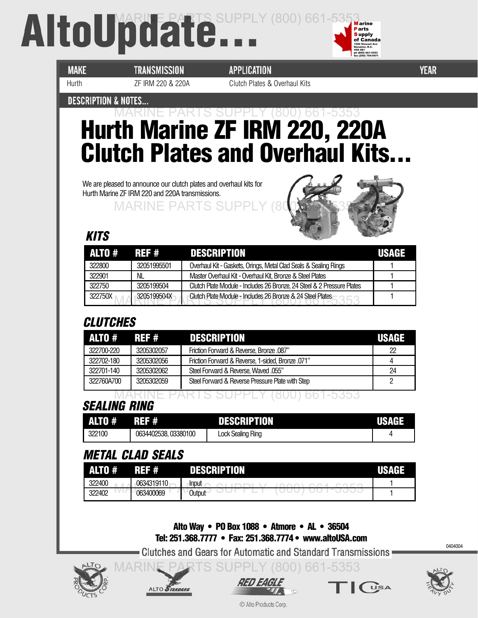## <span id="page-22-0"></span>AltoUpdate...



**MAKE** 

**TRANSMISSION** 

**APPLICATION** Hurth ZF IRM 220 & 220A Clutch Plates & Overhaul Kits **YEAR** 

#### **DESCRIPTION & NOTES...**

#### **Hurth Marine ZF IRM 220, 220A Clutch Plates and Overhaul Kits...** MARINE PARTS SUPPLY (800) 661-5353

We are pleased to announce our clutch plates and overhaul kits for Hurth Marine ZF IRM 220 and 220A transmissions.

**MARINE PARTS SI** 



#### **KITS**

| ALTO #  | REF #       | <b>DESCRIPTION</b>                                                     | USAGE |
|---------|-------------|------------------------------------------------------------------------|-------|
| 322800  | 32051995501 | Overhaul Kit - Gaskets, Orings, Metal Clad Seals & Sealing Rings       |       |
| 322901  | NL          | Master Overhaul Kit - Overhaul Kit, Bronze & Steel Plates              |       |
| 322750  | 3205199504  | Clutch Plate Module - Includes 26 Bronze, 24 Steel & 2 Pressure Plates |       |
| 322750X | 3205199504X | Clutch Plate Module - Includes 26 Bronze & 24 Steel Plates             |       |

#### **CLUTCHES**

| ALTO #     |            | <b>REF # DESCRIPTION</b>                          | <b>USAGE</b> |
|------------|------------|---------------------------------------------------|--------------|
| 322700-220 | 3205302057 | Friction Forward & Reverse, Bronze .087"          | 22           |
| 322702-180 | 3205302056 | Friction Forward & Reverse, 1-sided, Bronze .071" |              |
| 322701-140 | 3205302062 | Steel Forward & Reverse, Waved .055"              | 24           |
| 322760A700 | 3205302059 | Steel Forward & Reverse Pressure Plate with Step  |              |

#### **SEALING RING** MARINE PARTS SUPPLY (800) 661-5353

| ALTO # | REF #                | <b>DESCRIPTION</b>       | $\blacksquare$ |
|--------|----------------------|--------------------------|----------------|
| 322100 | 0634402538, 03380100 | <b>Lock Sealing Ring</b> |                |

#### **METAL CLAD SEALS**

ALTO STANDARD

| A      | ₩<br>135 S | 'NH.<br>- 1  |  |
|--------|------------|--------------|--|
| 322400 | 0634319110 | <b>Input</b> |  |
| 322402 | 063400069  | Output       |  |

**Alto Way • PO Box 1088 • Atmore • AL • 36504 Tel: 251.368.7777 • Fax: 251.368.7774 • www.altoUSA.com**

• Clutches and Gears for Automatic and Standard Transmissions =

**RTS SUPPLY (800) 661-5353** 





 $\int$   $\int$   $\sqrt{SA}$ 

0404004

© Alto Products Corp.

*RED EAGLE*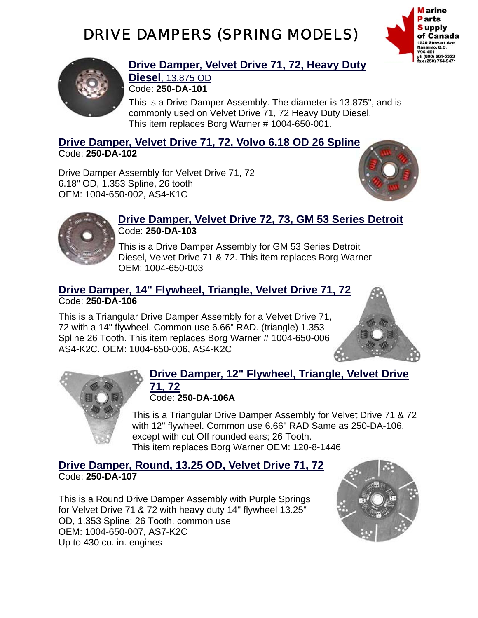#### DRIVE DAMPERS (SPRING MODELS)





#### **Drive Damper, Velvet Drive 71, 72, Heavy Duty Diesel**, 13.875 OD

Code: **250-DA-101**

 This is a Drive Damper Assembly. The diameter is 13.875", and is commonly used on Velvet Drive 71, 72 Heavy Duty Diesel. This item replaces Borg Warner # 1004-650-001.

**Drive Damper, Velvet Drive 71, 72, Volvo 6.18 OD 26 Spline** Code: **250-DA-102**

Drive Damper Assembly for Velvet Drive 71, 72 6.18" OD, 1.353 Spline, 26 tooth OEM: 1004-650-002, AS4-K1C





#### **Drive Damper, Velvet Drive 72, 73, GM 53 Series Detroit** Code: **250-DA-103**

 This is a Drive Damper Assembly for GM 53 Series Detroit Diesel, Velvet Drive 71 & 72. This item replaces Borg Warner OEM: 1004-650-003

#### **Drive Damper, 14" Flywheel, Triangle, Velvet Drive 71, 72** Code: **250-DA-106**

This is a Triangular Drive Damper Assembly for a Velvet Drive 71, 72 with a 14" flywheel. Common use 6.66" RAD. (triangle) 1.353 Spline 26 Tooth. This item replaces Borg Warner # 1004-650-006 AS4-K2C. OEM: 1004-650-006, AS4-K2C





#### **Drive Damper, 12" Flywheel, Triangle, Velvet Drive 71, 72** Code: **250-DA-106A**

This is a Triangular Drive Damper Assembly for Velvet Drive 71 & 72 with 12" flywheel. Common use 6.66" RAD Same as 250-DA-106, except with cut Off rounded ears; 26 Tooth. This item replaces Borg Warner OEM: 120-8-1446

**Drive Damper, Round, 13.25 OD, Velvet Drive 71, 72** Code: **250-DA-107**

This is a Round Drive Damper Assembly with Purple Springs for Velvet Drive 71 & 72 with heavy duty 14" flywheel 13.25" OD, 1.353 Spline; 26 Tooth. common use OEM: 1004-650-007, AS7-K2C Up to 430 cu. in. engines

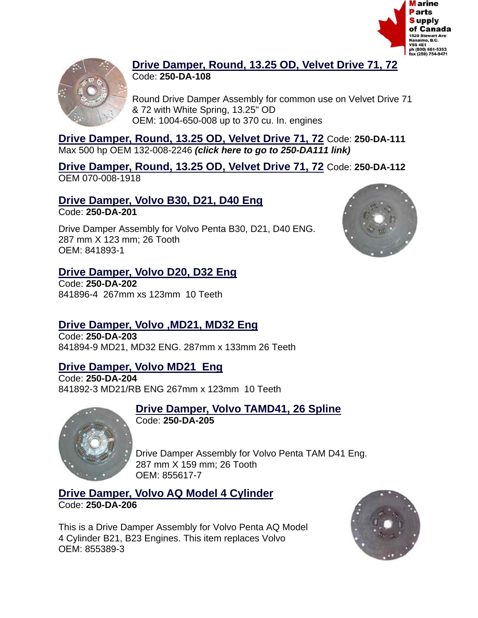



#### **Drive Damper, Round, 13.25 OD, Velvet Drive 71, 72** Code: **250-DA-108**

Round Drive Damper Assembly for common use on Velvet Drive 71 & 72 with White Spring, 13.25" OD OEM: 1004-650-008 up to 370 cu. In. engines

**Drive Damper, Round, 13.25 OD, Velvet Drive 71, 72** Code: **250-DA-111**  Max 500 hp OEM 132-008-2246 *[\(click here to go to 250-DA111 link\)](#page-27-0)*

**Drive Damper, Round, 13.25 OD, Velvet Drive 71, 72** Code: **250-DA-112**  OEM 070-008-1918

#### **Drive Damper, Volvo B30, D21, D40 Eng**

Code: **250-DA-201**

Drive Damper Assembly for Volvo Penta B30, D21, D40 ENG. 287 mm X 123 mm; 26 Tooth OEM: 841893-1

#### **Drive Damper, Volvo D20, D32 Eng**

Code: **250-DA-202**  841896-4 267mm xs 123mm 10 Teeth

#### **Drive Damper, Volvo ,MD21, MD32 Eng**

Code: **250-DA-203**  841894-9 MD21, MD32 ENG. 287mm x 133mm 26 Teeth

#### **Drive Damper, Volvo MD21 Eng**

Code: **250-DA-204**  841892-3 MD21/RB ENG 267mm x 123mm 10 Teeth



**Drive Damper, Volvo TAMD41, 26 Spline**

Code: **250-DA-205**

Drive Damper Assembly for Volvo Penta TAM D41 Eng. 287 mm X 159 mm; 26 Tooth OEM: 855617-7

**Drive Damper, Volvo AQ Model 4 Cylinder** Code: **250-DA-206**

This is a Drive Damper Assembly for Volvo Penta AQ Model 4 Cylinder B21, B23 Engines. This item replaces Volvo OEM: 855389-3



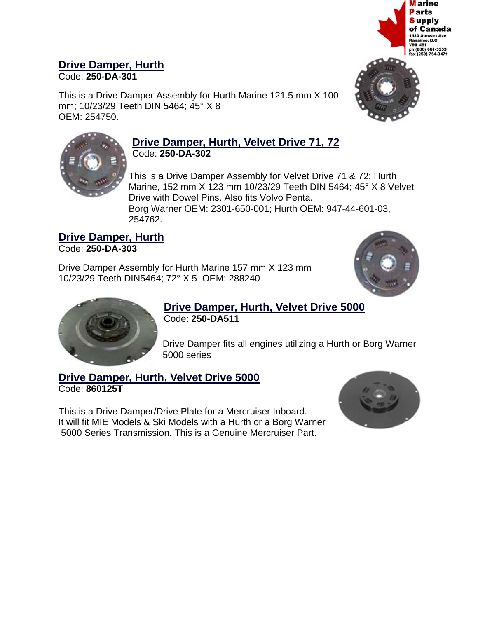

#### **Drive Damper, Hurth**

Code: **250-DA-301**

This is a Drive Damper Assembly for Hurth Marine 121.5 mm X 100 mm; 10/23/29 Teeth DIN 5464; 45° X 8 OEM: 254750.



#### **Drive Damper, Hurth, Velvet Drive 71, 72** Code: **250-DA-302**

This is a Drive Damper Assembly for Velvet Drive 71 & 72; Hurth Marine, 152 mm X 123 mm 10/23/29 Teeth DIN 5464; 45° X 8 Velvet Drive with Dowel Pins. Also fits Volvo Penta. Borg Warner OEM: 2301-650-001; Hurth OEM: 947-44-601-03, 254762.

#### **Drive Damper, Hurth** Code: **250-DA-303**

Drive Damper Assembly for Hurth Marine 157 mm X 123 mm 10/23/29 Teeth DIN5464; 72° X 5 OEM: 288240





#### **Drive Damper, Hurth, Velvet Drive 5000**

Code: **250-DA511**

Drive Damper fits all engines utilizing a Hurth or Borg Warner 5000 series

#### **Drive Damper, Hurth, Velvet Drive 5000** Code: **860125T**

This is a Drive Damper/Drive Plate for a Mercruiser Inboard. It will fit MIE Models & Ski Models with a Hurth or a Borg Warner 5000 Series Transmission. This is a Genuine Mercruiser Part.

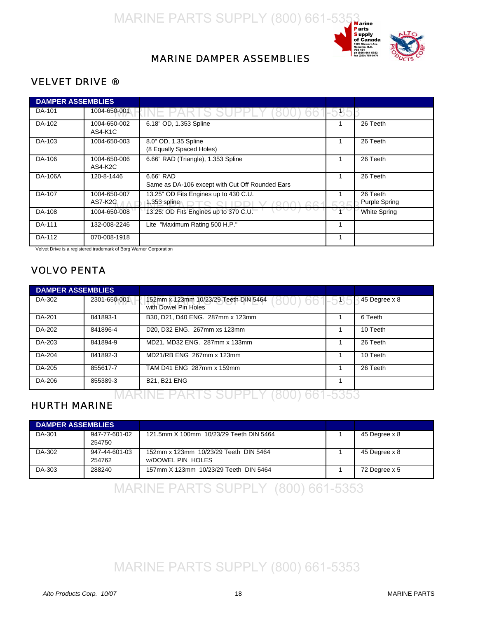

#### MARINE DAMPER ASSEMBLIES

#### VELVET DRIVE ®

| <b>DAMPER ASSEMBLIES</b> |                         |                                                              |      |                           |
|--------------------------|-------------------------|--------------------------------------------------------------|------|---------------------------|
| DA-101                   | 1004-650-001            | IS SUPP                                                      | -535 |                           |
| DA-102                   | 1004-650-002<br>AS4-K1C | 6.18" OD, 1.353 Spline                                       |      | 26 Teeth                  |
| DA-103                   | 1004-650-003            | 8.0" OD, 1.35 Spline<br>(8 Equally Spaced Holes)             |      | 26 Teeth                  |
| DA-106                   | 1004-650-006<br>AS4-K2C | 6.66" RAD (Triangle), 1.353 Spline                           |      | 26 Teeth                  |
| DA-106A                  | 120-8-1446              | 6.66" RAD<br>Same as DA-106 except with Cut Off Rounded Ears |      | 26 Teeth                  |
| DA-107                   | 1004-650-007<br>AS7-K2C | 13.25" OD Fits Engines up to 430 C.U.<br>1.353 spline        |      | 26 Teeth<br>Purple Spring |
| DA-108                   | 1004-650-008            | 13.25: OD Fits Engines up to 370 C.U.                        |      | <b>White Spring</b>       |
| DA-111                   | 132-008-2246            | Lite "Maximum Rating 500 H.P."                               |      |                           |
| DA-112                   | 070-008-1918            |                                                              |      |                           |

Velvet Drive is a registered trademark of Borg Warner Corporation

#### VOLVO PENTA

| <b>DAMPER ASSEMBLIES</b> |              |                                                                               |               |
|--------------------------|--------------|-------------------------------------------------------------------------------|---------------|
| DA-302                   | 2301-650-001 | 152mm x 123mm 10/23/29 Teeth DIN 5464<br>800) 661-535<br>with Dowel Pin Holes | 45 Degree x 8 |
| DA-201                   | 841893-1     | B30, D21, D40 ENG. 287mm x 123mm                                              | 6 Teeth       |
| DA-202                   | 841896-4     | D20, D32 ENG. 267mm xs 123mm                                                  | 10 Teeth      |
| DA-203                   | 841894-9     | MD21, MD32 ENG. 287mm x 133mm                                                 | 26 Teeth      |
| DA-204                   | 841892-3     | MD21/RB ENG 267mm x 123mm                                                     | 10 Teeth      |
| DA-205                   | 855617-7     | TAM D41 ENG 287mm x 159mm                                                     | 26 Teeth      |
| DA-206                   | 855389-3     | <b>B21, B21 ENG</b>                                                           |               |

#### MARINE PARTS SUPPLY (800) 661-5353

#### HURTH MARINE

| <b>DAMPER ASSEMBLIES</b> |                         |                                                            |               |
|--------------------------|-------------------------|------------------------------------------------------------|---------------|
| DA-301                   | 947-77-601-02<br>254750 | 121.5mm X 100mm 10/23/29 Teeth DIN 5464                    | 45 Degree x 8 |
| DA-302                   | 947-44-601-03<br>254762 | 152mm x 123mm 10/23/29 Teeth DIN 5464<br>w/DOWEL PIN HOLES | 45 Degree x 8 |
| DA-303                   | 288240                  | 157mm X 123mm 10/23/29 Teeth DIN 5464                      | 72 Degree x 5 |

MARINE PARTS SUPPLY (800) 661-5353